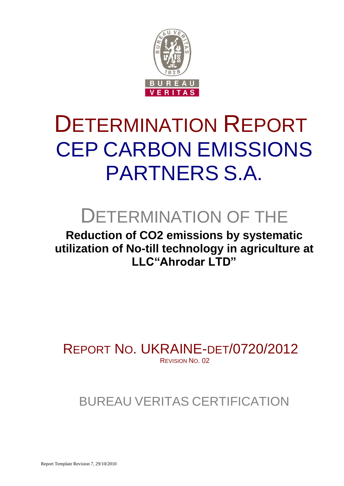

# DETERMINATION REPORT CEP CARBON EMISSIONS PARTNERS S.A.

# DETERMINATION OF THE

**Reduction of CO2 emissions by systematic utilization of No-till technology in agriculture at LLC"Ahrodar LTD"**

REPORT NO. UKRAINE-DET/0720/2012 REVISION NO. 02

# BUREAU VERITAS CERTIFICATION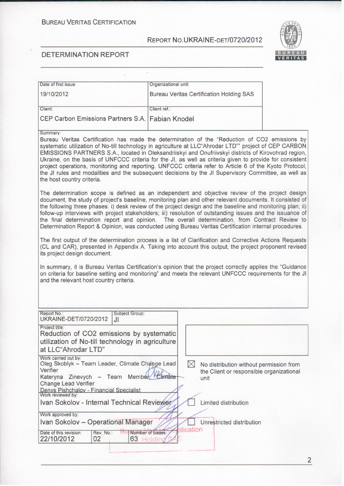

#### **DETERMINATION REPORT**

| Date of first issue                              | Organizational unit:                            |
|--------------------------------------------------|-------------------------------------------------|
| 19/10/2012                                       | <b>Bureau Veritas Certification Holding SAS</b> |
| Client:                                          | Client ref.:                                    |
| CEP Carbon Emissions Partners S.A. Fabian Knodel |                                                 |

#### Summary:

Bureau Veritas Certification has made the determination of the "Reduction of CO2 emissions by systematic utilization of No-till technology in agriculture at LLC"Ahrodar LTD"" project of CEP CARBON EMISSIONS PARTNERS S.A., located in Oleksandriiskyi and Onufriivskyi districts of Kirovohrad region, Ukraine, on the basis of UNFCCC criteria for the JI, as well as criteria given to provide for consistent project operations, monitoring and reporting. UNFCCC criteria refer to Article 6 of the Kyoto Protocol, the JI rules and modalities and the subsequent decisions by the JI Supervisory Committee, as well as the host country criteria.

The determination scope is defined as an independent and objective review of the project design document, the study of project's baseline, monitoring plan and other relevant documents. It consisted of the following three phases: i) desk review of the project design and the baseline and monitoring plan; ii) follow-up interviews with project stakeholders; iii) resolution of outstanding issues and the issuance of the final determination report and opinion. The overall determination, from Contract Review to Determination Report & Opinion, was conducted using Bureau Veritas Certification internal procedures.

The first output of the determination process is a list of Clarification and Corrective Actions Requests (CL and CAR), presented in Appendix A. Taking into account this output, the project proponent revised its project design document.

In summary, it is Bureau Veritas Certification's opinion that the project correctly applies the "Guidance on criteria for baseline setting and monitoring" and meets the relevant UNFCCC requirements for the JI and the relevant host country criteria.

| Report No.:<br>UKRAINE-DET/0720/2012                                                                                                                                                                                          | Subject Group:<br>JI.  |  |            |                                                                                             |
|-------------------------------------------------------------------------------------------------------------------------------------------------------------------------------------------------------------------------------|------------------------|--|------------|---------------------------------------------------------------------------------------------|
| Project title:<br>Reduction of CO2 emissions by systematic<br>utilization of No-till technology in agriculture<br>at LLC"Ahrodar LTD"                                                                                         |                        |  |            |                                                                                             |
| Work carried out by:<br>Oleg Skoblyk - Team Leader, Climate Change Lead<br>Verifier<br>Kateryna Zinevych - Team Member Climate<br><b>Change Lead Verifier</b><br>Denys Pishchalov - Financial Specialist<br>Work reviewed by: |                        |  | IХI        | No distribution without permission from<br>the Client or responsible organizational<br>unit |
| Ivan Sokolov - Internal Technical Reviewer                                                                                                                                                                                    |                        |  |            | Limited distribution                                                                        |
| Work approved by:                                                                                                                                                                                                             |                        |  |            |                                                                                             |
| Ivan Sokolov - Operational Manager                                                                                                                                                                                            |                        |  |            | Unrestricted distribution                                                                   |
| Date of this revision:<br>Rev. No.:<br>22/10/2012<br>02                                                                                                                                                                       | Number of pages:<br>63 |  | tification |                                                                                             |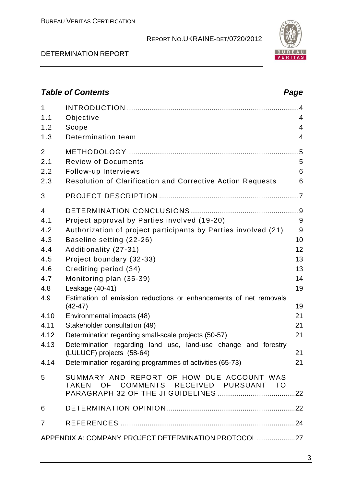#### DETERMINATION REPORT

| 1<br>1.1<br>1.2                     | Objective<br>Scope                                                                                                                                  | 4<br>4      |  |  |
|-------------------------------------|-----------------------------------------------------------------------------------------------------------------------------------------------------|-------------|--|--|
| 1.3                                 | Determination team                                                                                                                                  | 4           |  |  |
| $\overline{2}$<br>2.1<br>2.2<br>2.3 | <b>Review of Documents</b><br>Follow-up Interviews<br><b>Resolution of Clarification and Corrective Action Requests</b>                             | 5<br>6<br>6 |  |  |
| 3                                   |                                                                                                                                                     |             |  |  |
| 4<br>4.1<br>4.2                     | Project approval by Parties involved (19-20)<br>Authorization of project participants by Parties involved (21)                                      | 9<br>9      |  |  |
| 4.3<br>4.4                          | Baseline setting (22-26)<br>Additionality (27-31)                                                                                                   | 10<br>12    |  |  |
| 4.5<br>4.6                          | Project boundary (32-33)<br>Crediting period (34)                                                                                                   | 13<br>13    |  |  |
| 4.7<br>4.8                          | Monitoring plan (35-39)<br>Leakage (40-41)                                                                                                          | 14<br>19    |  |  |
| 4.9                                 | Estimation of emission reductions or enhancements of net removals<br>$(42 - 47)$                                                                    | 19          |  |  |
| 4.10<br>4.11                        | Environmental impacts (48)<br>Stakeholder consultation (49)                                                                                         | 21<br>21    |  |  |
| 4.12<br>4.13                        | Determination regarding small-scale projects (50-57)<br>Determination regarding land use, land-use change and forestry<br>(LULUCF) projects (58-64) | 21<br>21    |  |  |
| 4.14                                | Determination regarding programmes of activities (65-73)                                                                                            | 21          |  |  |
| 5                                   | SUMMARY AND REPORT OF HOW DUE ACCOUNT WAS<br>TAKEN OF COMMENTS RECEIVED PURSUANT TO                                                                 |             |  |  |
| 6                                   |                                                                                                                                                     |             |  |  |
| 7                                   |                                                                                                                                                     |             |  |  |
|                                     | APPENDIX A: COMPANY PROJECT DETERMINATION PROTOCOL27                                                                                                |             |  |  |



# *Table of Contents Page*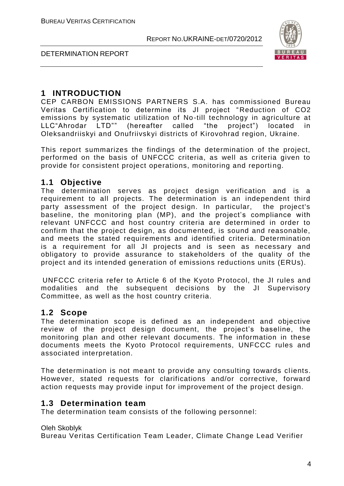

DETERMINATION REPORT

# **1 INTRODUCTION**

CEP CARBON EMISSIONS PARTNERS S.A. has commissioned Bureau Veritas Certification to determine its JI project "Reduction of CO2 emissions by systematic utilization of No-till technology in agriculture at LLC"Ahrodar LTD"" (hereafter called "the project") located in Oleksandriiskyi and Onufriivskyi districts of Kirovohrad region, Ukraine.

This report summarizes the findings of the determination of the project, performed on the basis of UNFCCC criteria, as well as criteria given to provide for consistent project operations, monitoring and reporting.

# **1.1 Objective**

The determination serves as project design verification and is a requirement to all projects. The determination is an independent third party assessment of the project design. In particular, the project's baseline, the monitoring plan (MP), and the project's compliance with relevant UNFCCC and host country criteria are determined in order to confirm that the project design, as documented, is sound and reasonable, and meets the stated requirements and identified criteria. Determination is a requirement for all JI projects and is seen as necessary and obligatory to provide assurance to stakeholders of the quality of the project and its intended generation of emissions reductions units (ERUs).

UNFCCC criteria refer to Article 6 of the Kyoto Protocol, the JI rules and modalities and the subsequent decisions by the JI Supervisory Committee, as well as the host country criteria.

# **1.2 Scope**

The determination scope is defined as an independent and objective review of the project design document, the project's baseline, the monitoring plan and other relevant documents. The information in these documents meets the Kyoto Protocol requirements, UNFCCC rules and associated interpretation.

The determination is not meant to provide any consulting towards clients. However, stated requests for clarifications and/or corrective, forward action requests may provide input for improvement of the project design.

# **1.3 Determination team**

The determination team consists of the following personnel:

Oleh Skoblyk

Bureau Veritas Certification Team Leader, Climate Change Lead Verifier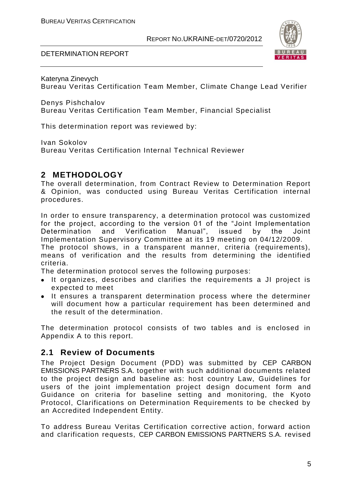



Kateryna Zinevych Bureau Veritas Certification Team Member, Climate Change Lead Verifier

Denys Pishchalov Bureau Veritas Certification Team Member, Financial Specialist

This determination report was reviewed by:

Ivan Sokolov Bureau Veritas Certification Internal Technical Reviewer

# **2 METHODOLOGY**

The overall determination, from Contract Review to Determination Report & Opinion, was conducted using Bureau Veritas Certification internal procedures.

In order to ensure transparency, a determination protocol was customized for the project, according to the version 01 of the "Joint Implementation Determination and Verification Manual", issued by the Joint Implementation Supervisory Committee at its 19 meeting on 04/12/2009.

The protocol shows, in a transparent manner, criteria (requirements), means of verification and the results from determining the identified criteria.

The determination protocol serves the following purposes:

- It organizes, describes and clarifies the requirements a JI project is expected to meet
- It ensures a transparent determination process where the determiner will document how a particular requirement has been determined and the result of the determination.

The determination protocol consists of two tables and is enclosed in Appendix A to this report.

# **2.1 Review of Documents**

The Project Design Document (PDD) was submitted by CEP CARBON EMISSIONS PARTNERS S.A. together with such additional documents related to the project design and baseline as: host country Law, Guidelines for users of the joint implementation project design document form and Guidance on criteria for baseline setting and monitoring, the Kyoto Protocol, Clarifications on Determination Requirements to be checked by an Accredited Independent Entity.

To address Bureau Veritas Certification corrective action, forward action and clarification requests, CEP CARBON EMISSIONS PARTNERS S.A. revised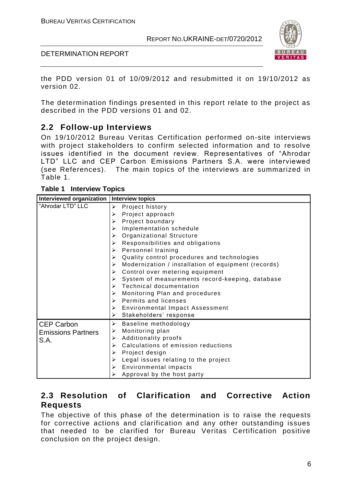

DETERMINATION REPORT

the PDD version 01 of 10/09/2012 and resubmitted it on 19/10/2012 as version 02.

The determination findings presented in this report relate to the project as described in the PDD versions 01 and 02.

# **2.2 Follow-up Interviews**

On 19/10/2012 Bureau Veritas Certification performed on-site interviews with project stakeholders to confirm selected information and to resolve issues identified in the document review. Representatives of "Ahrodar LTD" LLC and CEP Carbon Emissions Partners S.A. were interviewed (see References). The main topics of the interviews are summarized in Table 1.

| Table 1 | <b>Interview Topics</b> |  |
|---------|-------------------------|--|
|---------|-------------------------|--|

| Interviewed organization   Interview topics |                                                          |
|---------------------------------------------|----------------------------------------------------------|
| "Ahrodar LTD" LLC                           | Project history<br>$\blacktriangleright$                 |
|                                             | Project approach<br>⋗                                    |
|                                             | Project boundary                                         |
|                                             | Implementation schedule<br>↘                             |
|                                             | Organizational Structure<br>⋗                            |
|                                             | Responsibilities and obligations<br>⋗                    |
|                                             | Personnel training<br>➤                                  |
|                                             | Quality control procedures and technologies<br>⋗         |
|                                             | Modernization / installation of equipment (records)<br>≻ |
|                                             | Control over metering equipment<br>⋗                     |
|                                             | System of measurements record-keeping, database          |
|                                             | <b>Technical documentation</b><br>⋗                      |
|                                             | Monitoring Plan and procedures<br>⋗                      |
|                                             | Permits and licenses<br>↘                                |
|                                             | Environmental Impact Assessment<br>➤                     |
|                                             | Stakeholders' response<br>≻                              |
| <b>CEP Carbon</b>                           | ➤<br>Baseline methodology                                |
| <b>Emissions Partners</b>                   | Monitoring plan<br>➤                                     |
| S.A.                                        | Additionality proofs<br>⋗                                |
|                                             | Calculations of emission reductions<br>⋗                 |
|                                             | Project design<br>⋗                                      |
|                                             | Legal issues relating to the project<br>≻                |
|                                             | Environmental impacts<br>≻                               |
|                                             | Approval by the host party                               |

# **2.3 Resolution of Clarification and Corrective Action Requests**

The objective of this phase of the determination is to raise the requests for corrective actions and clarification and any other outstanding issues that needed to be clarified for Bureau Veritas Certification positive conclusion on the project design.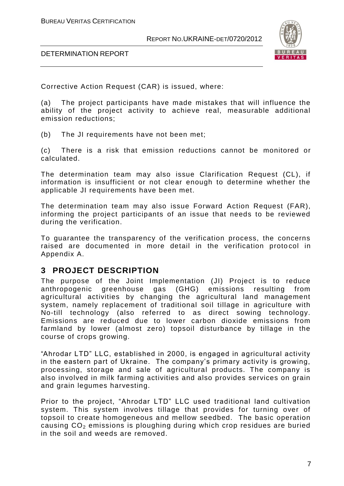

DETERMINATION REPORT

Corrective Action Request (CAR) is issued, where:

(a) The project participants have made mistakes that will influence the ability of the project activity to achieve real, measurable additional emission reductions;

(b) The JI requirements have not been met;

(c) There is a risk that emission reductions cannot be monitored or calculated.

The determination team may also issue Clarification Request (CL), if information is insufficient or not clear enough to determine whether the applicable JI requirements have been met.

The determination team may also issue Forward Action Request (FAR), informing the project participants of an issue that needs to be reviewed during the verification.

To guarantee the transparency of the verification process, the concerns raised are documented in more detail in the verification protocol in Appendix A.

# **3 PROJECT DESCRIPTION**

The purpose of the Joint Implementation (JI) Project is to reduce anthropogenic greenhouse gas (GHG) emissions resulting from agricultural activities by changing the agricultural land management system, namely replacement of traditional soil tillage in agriculture with No-till technology (also referred to as direct sowing technology. Emissions are reduced due to lower carbon dioxide emissions from farmland by lower (almost zero) topsoil disturbance by tillage in the course of crops growing.

"Ahrodar LTD" LLC, established in 2000, is engaged in agricultural activity in the eastern part of Ukraine. The company's primary activity is growing, processing, storage and sale of agricultural products. The company is also involved in milk farming activities and also provides services on grain and grain legumes harvesting.

Prior to the project, "Ahrodar LTD" LLC used traditional land cultivation system. This system involves tillage that provides for turning over of topsoil to create homogeneous and mellow seedbed. The basic operation causing  $CO<sub>2</sub>$  emissions is ploughing during which crop residues are buried in the soil and weeds are removed.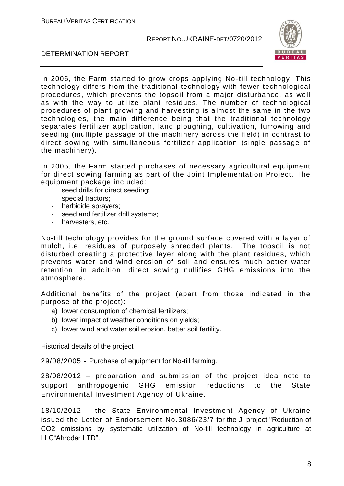

#### DETERMINATION REPORT

In 2006, the Farm started to grow crops applying No -till technology. This technology differs from the traditional technology with fewer technological procedures, which prevents the topsoil from a major disturbance, as well as with the way to utilize plant residues. The number of technological procedures of plant growing and harvesting is a lmost the same in the two technologies, the main difference being that the traditional technology separates fertilizer application, land ploughing, cultivation, furrowing and seeding (multiple passage of the machinery across the field) in contrast to direct sowing with simultaneous fertilizer application (single passage of the machinery).

In 2005, the Farm started purchases of necessary agricultural equipment for direct sowing farming as part of the Joint Implementation Project. The equipment package included:

- seed drills for direct seeding;
- special tractors;
- herbicide sprayers;
- seed and fertilizer drill systems;
- harvesters, etc.

No-till technology provides for the ground surface covered with a layer of mulch, i.e. residues of purposely shredded plants. The topsoil is not disturbed creating a protective layer along with the plant residues, which prevents water and wind erosion of soil and ensures much better water retention; in addition, direct sowing nullifies GHG emissions into the atmosphere.

Additional benefits of the project (apart from those indicated in the purpose of the project):

- a) lower consumption of chemical fertilizers;
- b) lower impact of weather conditions on yields;
- c) lower wind and water soil erosion, better soil fertility.

Historical details of the project

29/08/2005 - Purchase of equipment for No-till farming.

28/08/2012 – preparation and submission of the project idea note to support anthropogenic GHG emission reductions to the State Environmental Investment Agency of Ukraine.

18/10/2012 - the State Environmental Investment Agency of Ukraine issued the Letter of Endorsement No.3086/23/7 for the JI project "Reduction of CO2 emissions by systematic utilization of No-till technology in agriculture at LLC"Ahrodar LTD".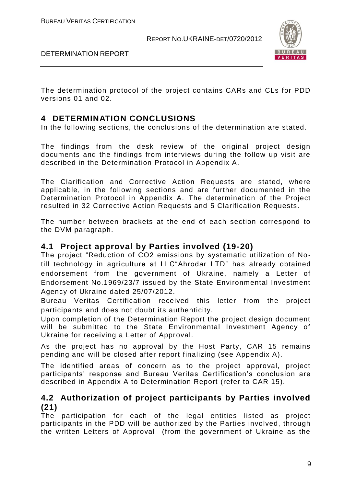

DETERMINATION REPORT

The determination protocol of the project contains CARs and CLs for PDD versions 01 and 02.

# **4 DETERMINATION CONCLUSIONS**

In the following sections, the conclusions of the determination are stated.

The findings from the desk review of the original project design documents and the findings from interviews during the follow up visit are described in the Determination Protocol in Appendix A.

The Clarification and Corrective Action Requests are stated, where applicable, in the following sections and are further documented in the Determination Protocol in Appendix A. The determination of the Project resulted in 32 Corrective Action Requests and 5 Clarification Requests.

The number between brackets at the end of each section correspond to the DVM paragraph.

# **4.1 Project approval by Parties involved (19-20)**

The project "Reduction of CO2 emissions by systematic utilization of No till technology in agriculture at LLC"Ahrodar LTD" has already obtained endorsement from the government of Ukraine, namely a Letter of Endorsement No.1969/23/7 issued by the State Environmental Investment Agency of Ukraine dated 25/07/2012.

Bureau Veritas Certification received this letter from the project participants and does not doubt its authenticity.

Upon completion of the Determination Report the project design document will be submitted to the State Environmental Investment Agency of Ukraine for receiving a Letter of Approval.

As the project has no approval by the Host Party, CAR 15 remains pending and will be closed after report finalizing (see Appendix A).

The identified areas of concern as to the project approval, project participants' response and Bureau Veritas Certification's conclusion are described in Appendix A to Determination Report (refer to CAR 15).

# **4.2 Authorization of project participants by Parties involved (21)**

The participation for each of the legal entities listed as project participants in the PDD will be authorized by the Parties involved, through the written Letters of Approval (from the government of Ukraine as the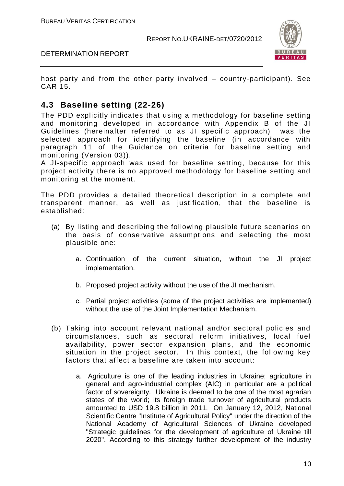

DETERMINATION REPORT

host party and from the other party involved – country-participant). See CAR 15.

# **4.3 Baseline setting (22-26)**

The PDD explicitly indicates that using a methodology for baseline setting and monitoring developed in accordance with Appendix B of the JI Guidelines (hereinafter referred to as JI specific approach) was the selected approach for identifying the baseline (in accordance with paragraph 11 of the Guidance on criteria for baseline setting and monitoring (Version 03)).

A JI-specific approach was used for baseline setting, because for this project activity there is no approved methodology for baseline setting and monitoring at the moment.

The PDD provides a detailed theoretical description in a complete and transparent manner, as well as justification, that the baseline is established:

- (a) By listing and describing the following plausible future scenarios on the basis of conservative assumptions and selecting the most plausible one:
	- a. Continuation of the current situation, without the JI project implementation.
	- b. Proposed project activity without the use of the JI mechanism.
	- c. Partial project activities (some of the project activities are implemented) without the use of the Joint Implementation Mechanism.
- (b) Taking into account relevant national and/or sectoral policies and circumstances, such as sectoral reform initiatives, local fuel availability, power sector expansion plans, and the economic situation in the project sector. In this context, the following key factors that affect a baseline are taken into account:
	- a. Agriculture is one of the leading industries in Ukraine; agriculture in general and agro-industrial complex (AIC) in particular are a political factor of sovereignty. Ukraine is deemed to be one of the most agrarian states of the world; its foreign trade turnover of agricultural products amounted to USD 19.8 billion in 2011. On January 12, 2012, National Scientific Centre "Institute of Agricultural Policy" under the direction of the National Academy of Agricultural Sciences of Ukraine developed "Strategic guidelines for the development of agriculture of Ukraine till 2020". According to this strategy further development of the industry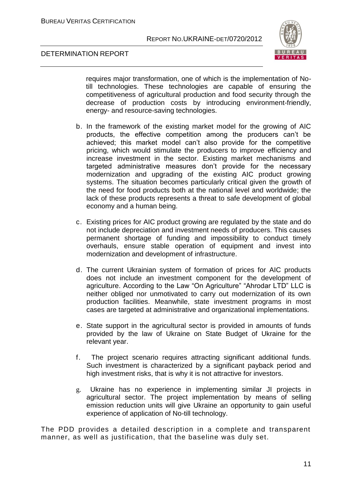

#### DETERMINATION REPORT

requires major transformation, one of which is the implementation of Notill technologies. These technologies are capable of ensuring the competitiveness of agricultural production and food security through the decrease of production costs by introducing environment-friendly, energy- and resource-saving technologies.

- b. In the framework of the existing market model for the growing of AIC products, the effective competition among the producers can't be achieved; this market model can't also provide for the competitive pricing, which would stimulate the producers to improve efficiency and increase investment in the sector. Existing market mechanisms and targeted administrative measures don't provide for the necessary modernization and upgrading of the existing AIC product growing systems. The situation becomes particularly critical given the growth of the need for food products both at the national level and worldwide; the lack of these products represents a threat to safe development of global economy and a human being.
- c. Existing prices for AIC product growing are regulated by the state and do not include depreciation and investment needs of producers. This causes permanent shortage of funding and impossibility to conduct timely overhauls, ensure stable operation of equipment and invest into modernization and development of infrastructure.
- d. The current Ukrainian system of formation of prices for AIC products does not include an investment component for the development of agriculture. According to the Law "On Agriculture" "Ahrodar LTD" LLC is neither obliged nor unmotivated to carry out modernization of its own production facilities. Meanwhile, state investment programs in most cases are targeted at administrative and organizational implementations.
- e. State support in the agricultural sector is provided in amounts of funds provided by the law of Ukraine on State Budget of Ukraine for the relevant year.
- f. The project scenario requires attracting significant additional funds. Such investment is characterized by a significant payback period and high investment risks, that is why it is not attractive for investors.
- g. Ukraine has no experience in implementing similar JI projects in agricultural sector. The project implementation by means of selling emission reduction units will give Ukraine an opportunity to gain useful experience of application of No-till technology.

The PDD provides a detailed description in a complete and transparent manner, as well as justification, that the baseline was duly set.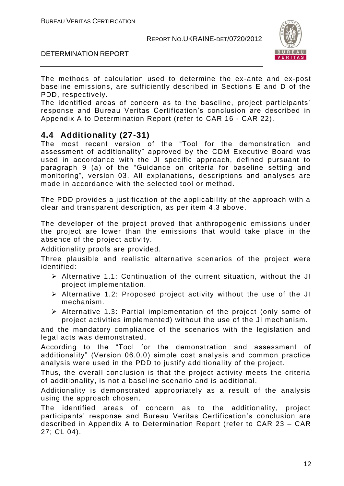

#### DETERMINATION REPORT

The methods of calculation used to determine the ex-ante and ex-post baseline emissions, are sufficiently described in Sections E and D of the PDD, respectively.

The identified areas of concern as to the baseline, project participants' response and Bureau Veritas Certification's conclusion are described in Appendix A to Determination Report (refer to CAR 16 - CAR 22).

# **4.4 Additionality (27-31)**

The most recent version of the "Tool for the demonstration and assessment of additionality" approved by the CDM Executive Board was used in accordance with the JI specific approach, defined pursuant to paragraph 9 (a) of the "Guidance on criteria for baseline setting and monitoring", version 03. All explanations, descriptions and analyses are made in accordance with the selected tool or method.

The PDD provides a justification of the applicability of the approach with a clear and transparent description, as per item 4.3 above.

The developer of the project proved that anthropogenic emissions under the project are lower than the emissions that would take place in the absence of the project activity.

Additionality proofs are provided.

Three plausible and realistic alternative scenarios of the project were identified:

- Alternative 1.1: Continuation of the current situation, without the JI project implementation.
- $\triangleright$  Alternative 1.2: Proposed project activity without the use of the JI mechanism.
- $\triangleright$  Alternative 1.3: Partial implementation of the project (only some of project activities implemented) without the use of the JI mechanism.

and the mandatory compliance of the scenarios with the legislation and legal acts was demonstrated.

According to the "Tool for the demonstration and assessment of additionality" (Version 06.0.0) simple cost analysis and common practice analysis were used in the PDD to justify additionality of the project.

Thus, the overall conclusion is that the project activity meets the criteria of additionality, is not a baseline scenario and is additional.

Additionality is demonstrated appropriately as a result of the analysis using the approach chosen.

The identified areas of concern as to the additionality, project participants' response and Bureau Veritas Certification's conclusion are described in Appendix A to Determination Report (refer to CAR 23 – CAR 27; CL 04).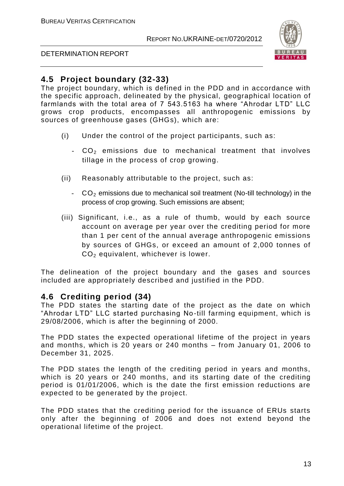

#### DETERMINATION REPORT

# **4.5 Project boundary (32-33)**

The project boundary, which is defined in the PDD and in accordance with the specific approach, delineated by the physical, geographical location of farmlands with the total area of 7 543.5163 ha where "Ahrodar LTD" LLC grows crop products, encompasses all anthropogenic emissions by sources of greenhouse gases (GHGs), which are:

- (i) Under the control of the project participants, such as:
	- $-CO<sub>2</sub>$  emissions due to mechanical treatment that involves tillage in the process of crop growing.
- (ii) Reasonably attributable to the project, such as:
	- CO<sub>2</sub> emissions due to mechanical soil treatment (No-till technology) in the process of crop growing. Such emissions are absent;
- (iii) Significant, i.e., as a rule of thumb, would by each source account on average per year over the crediting period for more than 1 per cent of the annual average anthropogenic emissions by sources of GHGs, or exceed an amount of 2,000 tonnes of CO<sup>2</sup> equivalent, whichever is lower.

The delineation of the project boundary and the gases and sources included are appropriately described and justified in the PDD.

# **4.6 Crediting period (34)**

The PDD states the starting date of the project as the date on which "Ahrodar LTD" LLC started purchasing No-till farming equipment, which is 29/08/2006, which is after the beginning of 2000.

The PDD states the expected operational lifetime of the project in years and months, which is 20 years or 240 months – from January 01, 2006 to December 31, 2025.

The PDD states the length of the crediting period in years and months, which is 20 years or 240 months, and its starting date of the crediting period is 01/01/2006, which is the date the first emission reductions are expected to be generated by the project.

The PDD states that the crediting period for the issuance of ERUs starts only after the beginning of 2006 and does not extend beyond the operational lifetime of the project.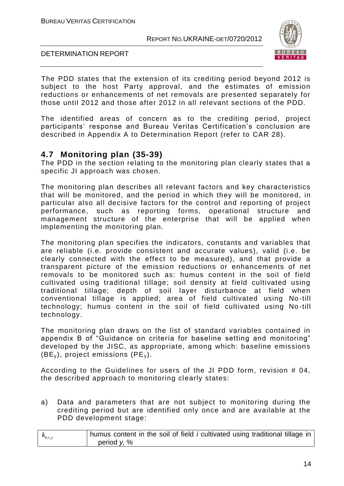

#### DETERMINATION REPORT

The PDD states that the extension of its crediting period beyond 2012 is subject to the host Party approval, and the estimates of emission reductions or enhancements of net removals are presented separately for those until 2012 and those after 2012 in all relevant sections of the PDD.

The identified areas of concern as to the crediting period, project participants' response and Bureau Veritas Certification's conclusion are described in Appendix A to Determination Report (refer to CAR 28).

# **4.7 Monitoring plan (35-39)**

The PDD in the section relating to the monitoring plan clearly states that a specific JI approach was chosen.

The monitoring plan describes all relevant factors and key characteristics that will be monitored, and the period in which they will be monitored, in particular also all decisive factors for the control and reporting of project performance, such as reporting forms, operational structure and management structure of the enterprise that will be applied when implementing the monitoring plan.

The monitoring plan specifies the indicators, constants and variables that are reliable (i.e. provide consistent and accurate values), valid (i.e. be clearly connected with the effect to be measured), and that provide a transparent picture of the emission reductions or enhancements of net removals to be monitored such as: humus content in the soil of field cultivated using traditional tillage; soil density at field cultivated using traditional tillage; depth of soil layer disturbance at field when conventional tillage is applied; area of field cultivated using No -till technology; humus content in the soil of field cultivated using No -till technology.

The monitoring plan draws on the list of standard variables contained in appendix B of "Guidance on criteria for baseline setting and monitoring" developed by the JISC, as appropriate, among which: baseline emissions (BE<sub>y</sub>), project emissions (PE<sub>y</sub>).

According to the Guidelines for users of the JI PDD form, revision # 04, the described approach to monitoring clearly states:

a) Data and parameters that are not subject to monitoring during the crediting period but are identified only once and are available at the PDD development stage:

| $k_{b,i,y}$ | humus content in the soil of field <i>i</i> cultivated using traditional tillage in |
|-------------|-------------------------------------------------------------------------------------|
|             | period $y, %$                                                                       |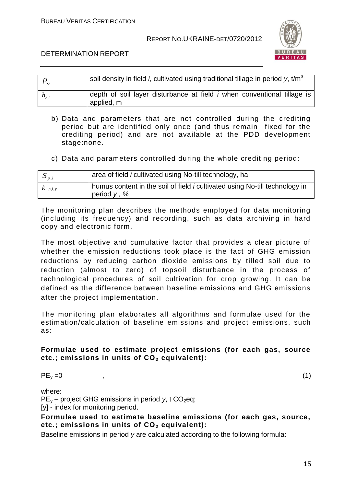

#### DETERMINATION REPORT

| $\mathcal{H}_{y}$ | soil density in field <i>i</i> , cultivated using traditional tillage in period y, t/m <sup>3,</sup> |
|-------------------|------------------------------------------------------------------------------------------------------|
| $h_{b,i}$         | depth of soil layer disturbance at field <i>i</i> when conventional tillage is<br>applied, m         |

- b) Data and parameters that are not controlled during the crediting period but are identified only once (and thus remain fixed for the crediting period) and are not available at the PDD development stage:none.
- c) Data and parameters controlled during the whole crediting period:

| $\mathbf{v}_{p,i}$ | area of field <i>i</i> cultivated using No-till technology, ha;                                     |
|--------------------|-----------------------------------------------------------------------------------------------------|
| $\kappa_{p,i,y}$   | humus content in the soil of field <i>i</i> cultivated using No-till technology in<br>period $y, %$ |

The monitoring plan describes the methods employed for data monitoring (including its frequency) and recording, such as data archiving in hard copy and electronic form.

The most objective and cumulative factor that provides a clear picture of whether the emission reductions took place is the fact of GHG emission reductions by reducing carbon dioxide emissions by tilled soil due to reduction (almost to zero) of topsoil disturbance in the process of technological procedures of soil cultivation for crop growing. It can be defined as the difference between baseline emissions and GHG emissions after the project implementation.

The monitoring plan elaborates all algorithms and formulae used for the estimation/calculation of baseline emissions and project emissions, such as:

#### **Formulae used to estimate project emissions (for each gas, source etc.; emissions in units of CO<sup>2</sup> equivalent):**

$$
PE_y = 0 \tag{1}
$$

where:

 $PE<sub>v</sub>$  – project GHG emissions in period *y*, t CO<sub>2</sub>eq;

[y] - index for monitoring period.

**Formulae used to estimate baseline emissions (for each gas, source, etc.; emissions in units of CO<sup>2</sup> equivalent):**

Baseline emissions in period *y* are calculated according to the following formula: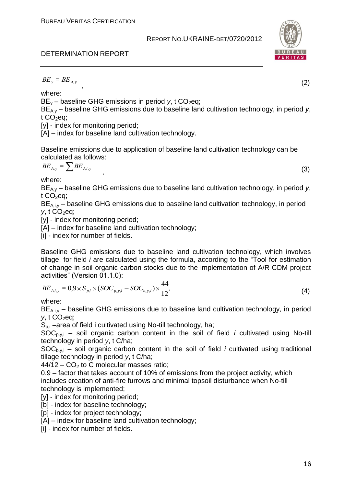# DETERMINATION REPORT

$$
BE_y = BE_{A,y}
$$

where:

BE<sub>y</sub> – baseline GHG emissions in period *y*, t CO<sub>2</sub>eq;

BE<sub>A,y</sub> – baseline GHG emissions due to baseline land cultivation technology, in period *y*, t  $CO<sub>2</sub>$ eq;

,  $\overline{\phantom{a}}$ 

[y] - index for monitoring period;

[A] – index for baseline land cultivation technology.

Baseline emissions due to application of baseline land cultivation technology can be calculated as follows:

$$
BE_{A,y} = \sum BE_{A,i,y}
$$

where:

BE<sub>A,y</sub> – baseline GHG emissions due to baseline land cultivation technology, in period *y*, t  $CO<sub>2</sub>$ eq;

,  $\overline{\phantom{a}}$ 

 $BE<sub>A,i,y</sub>$  – baseline GHG emissions due to baseline land cultivation technology, in period  $v, t$  CO<sub>2</sub>eq;

[y] - index for monitoring period;

[A] – index for baseline land cultivation technology;

[i] - index for number of fields.

*BK<sub>b</sub>* = *BK<sub>b</sub>*<br> *BK<sub>b</sub>* = *BK<sub>b</sub>*<br> **BE**y - baseline GHG emissions in period y, t CO<sub>D</sub>eq;<br> **BE***y* - baseline GHG emissions due to baseline land cultivation technology, in period y,<br>
ECO<sub>D</sub>eq; 25<br> **BE***y* - haskeline Baseline GHG emissions due to baseline land cultivation technology, which involves tillage, for field *i* are calculated using the formula, according to the "Tool for estimation of change in soil organic carbon stocks due to the implementation of A/R CDM project activities" (Version 01.1.0):

$$
BE_{A,i,y} = 0.9 \times S_{p,i} \times (SOC_{p,y,i} - SOC_{b,y,i}) \times \frac{44}{12},\tag{4}
$$

where:

 $BE<sub>A,i,y</sub>$  – baseline GHG emissions due to baseline land cultivation technology, in period  $y$ , t CO<sub>2</sub>eq;

 $S<sub>p,i</sub>$  –area of field i cultivated using No-till technology, ha;

SOCp,y,i – soil organic carbon content in the soil of field *i* cultivated using No-till technology in period *y*, t C/ha;

 $SOC_{b,v,i}$  – soil organic carbon content in the soil of field *i* cultivated using traditional tillage technology in period *y*, t C/ha;

 $44/12 - CO<sub>2</sub>$  to C molecular masses ratio;

0.9 – factor that takes account of 10% of emissions from the project activity, which includes creation of anti-fire furrows and minimal topsoil disturbance when No-till technology is implemented;

[y] - index for monitoring period;

[b] - index for baseline technology;

[p] - index for project technology;

[A] – index for baseline land cultivation technology;

[i] - index for number of fields.





(3)

(2)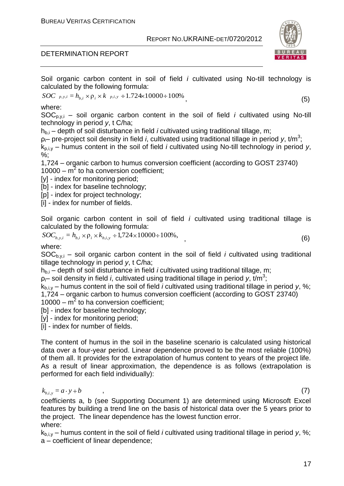# DETERMINATION REPORT

Soil organic carbon content in soil of field *i* cultivated using No-till technology is calculated by the following formula:

$$
SOC_{p,y,i} = h_{b,i} \times \rho_i \times k_{p,i,y} \div 1.724 \times 10000 \div 100\%
$$
\n(5)

where:

SOCp,y,i – soil organic carbon content in the soil of field *i* cultivated using No-till technology in period *y*, t C/ha;

h<sub>b,i</sub> – depth of soil disturbance in field *i* cultivated using traditional tillage, m;

ρ<sub>i</sub>– pre-project soil density in field *i*, cultivated using traditional tillage in period *y*, t/m<sup>3</sup>;

kp,і,y – humus content in the soil of field *i* cultivated using No-till technology in period *y*, %;

1,724 – organic carbon to humus conversion coefficient (according to GOST 23740)  $10000 - m^2$  to ha conversion coefficient;

[y] - index for monitoring period;

[b] - index for baseline technology;

[p] - index for project technology;

[i] - index for number of fields.

Soil organic carbon content in soil of field *i* cultivated using traditional tillage is calculated by the following formula:

$$
SOC_{b,y,i} = h_{b,i} \times \rho_i \times k_{b,i,y} \div 1,724 \times 10000 \div 100\%,
$$
\n(6)

where:

 $SOC_{b,v,i}$  – soil organic carbon content in the soil of field *i* cultivated using traditional tillage technology in period *y*, t C/ha;

h<sub>bi</sub> – depth of soil disturbance in field *i* cultivated using traditional tillage, m;

ρi– soil density in field *i*, cultivated using traditional tillage in period *y*, t/m<sup>3</sup> ;

kb,і,y – humus content in the soil of field *i* cultivated using traditional tillage in period *y*, %; 1,724 – organic carbon to humus conversion coefficient (according to GOST 23740)

 $10000 - m^2$  to ha conversion coefficient;

[b] - index for baseline technology;

[y] - index for monitoring period;

[i] - index for number of fields.

The content of humus in the soil in the baseline scenario is calculated using historical data over a four-year period. Linear dependence proved to be the most reliable (100%) of them all. It provides for the extrapolation of humus content to years of the project life. As a result of linear approximation, the dependence is as follows (extrapolation is performed for each field individually):

$$
k_{b,i,y} = a \cdot y + b \tag{7}
$$

coefficients a, b (see Supporting Document 1) are determined using Microsoft Excel features by building a trend line on the basis of historical data over the 5 years prior to the project. The linear dependence has the lowest function error. where:

 $k_{\text{biv}}$  – humus content in the soil of field *i* cultivated using traditional tillage in period *y*, %; a – coefficient of linear dependence;

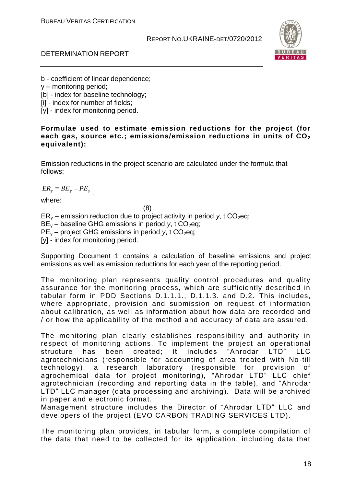

#### DETERMINATION REPORT

b - coefficient of linear dependence;

- y monitoring period;
- [b] index for baseline technology;
- [i] index for number of fields;
- [y] index for monitoring period.

#### **Formulae used to estimate emission reductions for the project (for each gas, source etc.; emissions/emission reductions in units of CO<sup>2</sup> equivalent):**

Emission reductions in the project scenario are calculated under the formula that follows:

 $ER_y = BE_y - PE_y$ ,

where:

(8)  $ER_v$  – emission reduction due to project activity in period *y*, t  $CO_2$ eq;  $BE<sub>v</sub>$  – baseline GHG emissions in period *y*, t CO<sub>2</sub>eq;  $PE_v$  – project GHG emissions in period *y*, t CO<sub>2</sub>eq; [y] - index for monitoring period.

Supporting Document 1 contains a calculation of baseline emissions and project emissions as well as emission reductions for each year of the reporting period.

The monitoring plan represents quality control procedures and quality assurance for the monitoring process, which are sufficiently described in tabular form in PDD Sections D.1.1.1., D.1.1.3. and D.2. This includes, where appropriate, provision and submission on request of information about calibration, as well as information about how data are recorded and / or how the applicability of the method and accuracy of data are assured.

The monitoring plan clearly establishes responsibility and authority in respect of monitoring actions. To implement the project an operational structure has been created; it includes "Ahrodar LTD" LLC agrotechnicians (responsible for accounting of area treated with No -till technology), a research laboratory (responsible for provision of agrochemical data for project monitoring), "Ahrodar LTD" LLC chief agrotechnician (recording and reporting data in the table), and "Ah rodar LTD" LLC manager (data processing and archiving). Data will be archived in paper and electronic format.

Management structure includes the Director of "Ahrodar LTD" LLC and developers of the project (EVO CARBON TRADING SERVICES LTD).

The monitoring plan provides, in tabular form, a complete compilation of the data that need to be collected for its application, including data that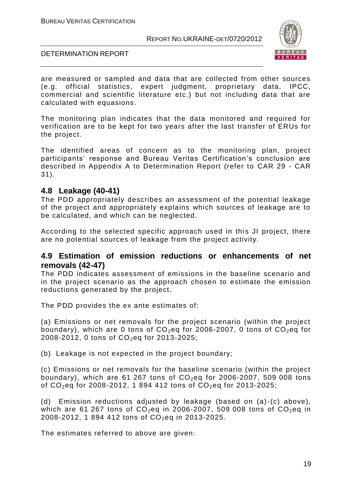

#### DETERMINATION REPORT

are measured or sampled and data that are collected from other sources (e.g. official statistics, expert judgment, proprietary data, IPCC, commercial and scientific literature etc.) but not including data that are calculated with equasions.

The monitoring plan indicates that the data monitored and required for verification are to be kept for two years after the last transfer of ERUs for the project.

The identified areas of concern as to the monitoring plan, project participants' response and Bureau Veritas Certification's conclusion are described in Appendix A to Determination Report (refer to CAR 29 - CAR 31).

# **4.8 Leakage (40-41)**

The PDD appropriately describes an assessment of the potential leakage of the project and appropriately explains which sources of leakage are to be calculated, and which can be neglected.

According to the selected specific approach used in this JI project, there are no potential sources of leakage from the project activity.

# **4.9 Estimation of emission reductions or enhancements of net removals (42-47)**

The PDD indicates assessment of emissions in the baseline scenario and in the project scenario as the approach chosen to estimate the emission reductions generated by the project.

The PDD provides the ex ante estimates of:

(a) Emissions or net removals for the project scenario (within the project boundary), which are 0 tons of  $CO<sub>2</sub>$ eq for 2006-2007, 0 tons of  $CO<sub>2</sub>$ eq for 2008-2012, 0 tons of  $CO_2$ eq for 2013-2025;

(b) Leakage is not expected in the project boundary;

(c) Emissions or net removals for the baseline scenario (within the project boundary), which are 61 267 tons of  $CO<sub>2</sub>$ eq for 2006-2007, 509 008 tons of  $CO_2$ eq for 2008-2012, 1 894 412 tons of  $CO_2$ eq for 2013-2025;

(d) Emission reductions adjusted by leakage (based on (a)-(c) above), which are 61 267 tons of  $CO<sub>2</sub>$ eq in 2006-2007, 509 008 tons of  $CO<sub>2</sub>$ eq in 2008-2012, 1 894 412 tons of  $CO_2$ eq in 2013-2025.

The estimates referred to above are given: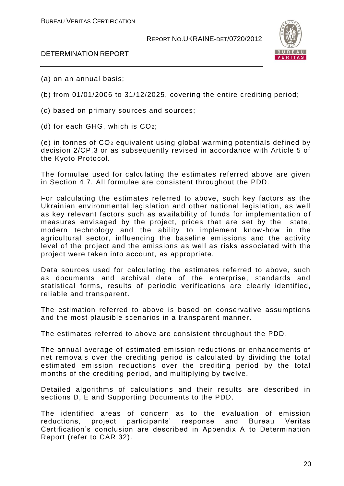

#### DETERMINATION REPORT

- (a) on an annual basis;
- (b) from 01/01/2006 to 31/12/2025, covering the entire crediting period;
- (c) based on primary sources and sources;
- (d) for each GHG, which is CO2;

(e) in tonnes of CO<sup>2</sup> equivalent using global warming potentials defined by decision 2/CP.3 or as subsequently revised in accordance with Article 5 of the Kyoto Protocol.

The formulae used for calculating the estimates referred above are given in Section 4.7. All formulae are consistent throughout the PDD.

For calculating the estimates referred to above, such key factors as the Ukrainian environmental legislation and other national legislation, as well as key relevant factors such as availability of funds for implementation of measures envisaged by the project, prices that are set by the state, modern technology and the ability to implement know-how in the agricultural sector, influencing the baseline emissions and the activity level of the project and the emissions as well as risks associated with the project were taken into account, as appropriate.

Data sources used for calculating the estimates referred to above, such as documents and archival data of the enterprise, standards and statistical forms, results of periodic verifications are clearly identified, reliable and transparent.

The estimation referred to above is based on conservative assumptions and the most plausible scenarios in a transparent manner.

The estimates referred to above are consistent throughout the PDD .

The annual average of estimated emission reductions or enhancements of net removals over the crediting period is calculated by dividing the total estimated emission reductions over the crediting period by the total months of the crediting period, and multiplying by twelve.

Detailed algorithms of calculations and their results are described in sections D, E and Supporting Documents to the PDD.

The identified areas of concern as to the evaluation of emission reductions, project participants' response and Bureau Veritas Certification's conclusion are described in Appendix A to Determination Report (refer to CAR 32).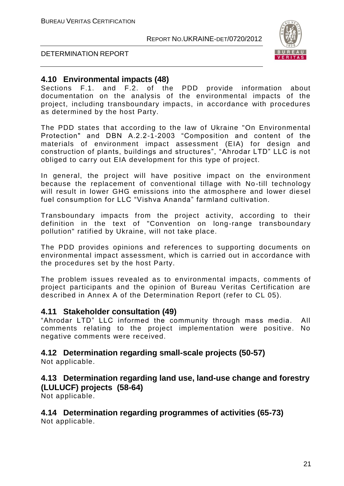

#### DETERMINATION REPORT

# **4.10 Environmental impacts (48)**

Sections F.1. and F.2. of the PDD provide information about documentation on the analysis of the environmental impacts of the project, including transboundary impacts, in accordance with procedures as determined by the host Party.

The PDD states that according to the law of Ukraine "On Environmental Protection" and DBN А.2.2-1-2003 "Composition and content of the materials of environment impact assessment (EIA) for design and construction of plants, buildings and structures", "Ahrodar LTD" LLC is not obliged to carry out EIA development for this type of project.

In general, the project will have positive impact on the environment because the replacement of conventional tillage with No -till technology will result in lower GHG emissions into the atmosphere and lower diesel fuel consumption for LLC "Vishva Ananda" farmland cultivation.

Transboundary impacts from the project activity, according to their definition in the text of "Convention on long-range transboundary pollution" ratified by Ukraine, will not take place.

The PDD provides opinions and references to supporting documents on environmental impact assessment, which is carried out in accordance with the procedures set by the host Party.

The problem issues revealed as to environmental impacts, comments of project participants and the opinion of Bureau Veritas Certification are described in Annex A of the Determination Report (refer to CL 05).

#### **4.11 Stakeholder consultation (49)**

"Ahrodar LTD" LLC informed the community through mass media. All comments relating to the project implementation were positive. No negative comments were received.

# **4.12 Determination regarding small-scale projects (50-57)**

Not applicable.

# **4.13 Determination regarding land use, land-use change and forestry (LULUCF) projects (58-64)**

Not applicable.

# **4.14 Determination regarding programmes of activities (65-73)**

Not applicable.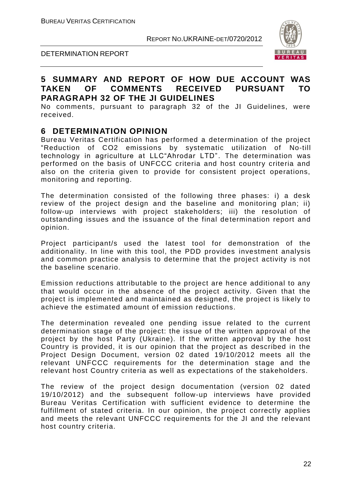

#### DETERMINATION REPORT

# **5 SUMMARY AND REPORT OF HOW DUE ACCOUNT WAS TAKEN OF COMMENTS RECEIVED PURSUANT TO PARAGRAPH 32 OF THE JI GUIDELINES**

No comments, pursuant to paragraph 32 of the JI Guidelines, were received.

# **6 DETERMINATION OPINION**

Bureau Veritas Certification has performed a determination of the project "Reduction of CO2 emissions by systematic utilization of No-till technology in agriculture at LLC"Ahrodar LTD". The determination was performed on the basis of UNFCCC criteria and host country criteria and also on the criteria given to provide for consistent project operations, monitoring and reporting.

The determination consisted of the following three phases: i) a desk review of the project design and the baseline and monitoring plan; ii) follow-up interviews with project stakeholders; iii) the resolution of outstanding issues and the issuance of the final determination report and opinion.

Project participant/s used the latest tool for demonstration of the additionality. In line with this tool, the PDD provides investment analysis and common practice analysis to determine that the project activity is not the baseline scenario.

Emission reductions attributable to the project are hence additional to any that would occur in the absence of the project activity. Given that the project is implemented and maintained as designed, the project is likely to achieve the estimated amount of emission reductions.

The determination revealed one pending issue related to the current determination stage of the project: the issue of the written approval of the project by the host Party (Ukraine). If the written approval by the host Country is provided, it is our opinion that the project as described in the Project Design Document, version 02 dated 19/10/2012 meets all the relevant UNFCCC requirements for the determination stage and the relevant host Country criteria as well as expectations of the stakeholders.

The review of the project design documentation (version 02 dated 19/10/2012) and the subsequent follow-up interviews have provided Bureau Veritas Certification with sufficient evidence to determine the fulfillment of stated criteria. In our opinion, the project correctly applies and meets the relevant UNFCCC requirements for the JI and the relevant host country criteria.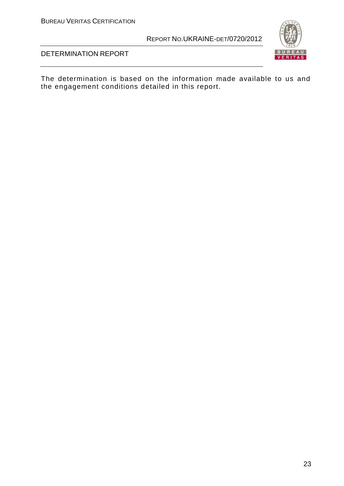BUREAU VERITAS CERTIFICATION

REPORT NO.UKRAINE-DET/0720/2012





DETERMINATION REPORT

The determination is based on the information made available to us and the engagement conditions detailed in this report.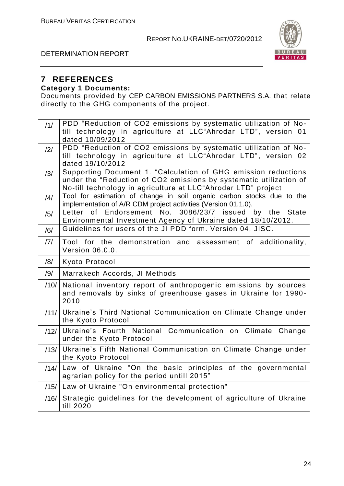

#### DETERMINATION REPORT

#### **7 REFERENCES Category 1 Documents:**

Documents provided by CEP CARBON EMISSIONS PARTNERS S.A. that relate directly to the GHG components of the project.

| /1/            | PDD "Reduction of CO2 emissions by systematic utilization of No-       |
|----------------|------------------------------------------------------------------------|
|                | till technology in agriculture at LLC"Ahrodar LTD", version 01         |
|                | dated 10/09/2012                                                       |
| /2/            | PDD "Reduction of CO2 emissions by systematic utilization of No-       |
|                | till technology in agriculture at LLC"Ahrodar LTD", version 02         |
|                | dated 19/10/2012                                                       |
| /3/            | Supporting Document 1. "Calculation of GHG emission reductions         |
|                | under the "Reduction of CO2 emissions by systematic utilization of     |
|                | No-till technology in agriculture at LLC"Ahrodar LTD" project          |
| $\frac{14}{3}$ | Tool for estimation of change in soil organic carbon stocks due to the |
|                | implementation of A/R CDM project activities (Version 01.1.0).         |
| /5/            | of Endorsement No. 3086/23/7 issued by the State<br>Letter             |
|                | Environmental Investment Agency of Ukraine dated 18/10/2012.           |
| /6/            | Guidelines for users of the JI PDD form. Version 04, JISC.             |
| 7              | Tool for the demonstration and assessment of additionality,            |
|                | <b>Version 06.0.0.</b>                                                 |
|                |                                                                        |
| /8/            | Kyoto Protocol                                                         |
| /9/            | Marrakech Accords, JI Methods                                          |
| /10/           | National inventory report of anthropogenic emissions by sources        |
|                | and removals by sinks of greenhouse gases in Ukraine for 1990-         |
|                | 2010                                                                   |
| /11/           | Ukraine's Third National Communication on Climate Change under         |
|                | the Kyoto Protocol                                                     |
|                | Ukraine's Fourth National Communication on Climate Change              |
| /12/           | under the Kyoto Protocol                                               |
|                |                                                                        |
| /13/           | Ukraine's Fifth National Communication on Climate Change under         |
|                | the Kyoto Protocol                                                     |
| /14/           | Law of Ukraine "On the basic principles of the governmental            |
|                | agrarian policy for the period untill 2015"                            |
|                | /15/ Law of Ukraine "On environmental protection"                      |
| /16/           | Strategic guidelines for the development of agriculture of Ukraine     |
|                | till 2020                                                              |
|                |                                                                        |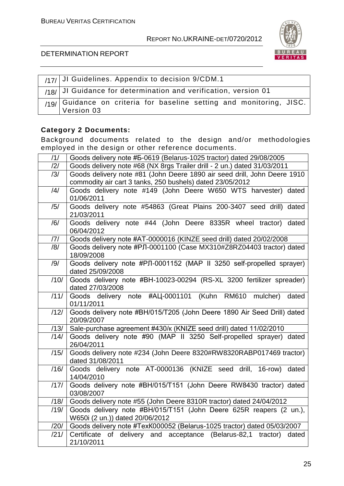

#### DETERMINATION REPORT

| $1/17/$ JI Guidelines. Appendix to decision 9/CDM.1                                |
|------------------------------------------------------------------------------------|
| $18/ $ JI Guidance for determination and verification, version 01                  |
| /19/ Guidance on criteria for baseline setting and monitoring, JISC.<br>Version 03 |

# **Category 2 Documents:**

Background documents related to the design and/or methodologies employed in the design or other reference documents.

| /1/              | Goods delivery note #5-0619 (Belarus-1025 tractor) dated 29/08/2005                                                                   |
|------------------|---------------------------------------------------------------------------------------------------------------------------------------|
| /2/              | Goods delivery note #68 (NX 8rgs Trailer drill - 2 un.) dated 31/03/2011                                                              |
| /3/              | Goods delivery note #81 (John Deere 1890 air seed drill, John Deere 1910<br>commodity air cart 3 tanks, 250 bushels) dated 23/05/2012 |
| /4/              | Goods delivery note #149 (John Deere W650 WTS harvester) dated<br>01/06/2011                                                          |
| /5/              | Goods delivery note #54863 (Great Plains 200-3407 seed drill) dated<br>21/03/2011                                                     |
| /6/              | Goods delivery note #44 (John Deere 8335R wheel tractor) dated<br>06/04/2012                                                          |
| 7                | Goods delivery note #AT-0000016 (KINZE seed drill) dated 20/02/2008                                                                   |
| /8/              | Goods delivery note #PJI-0001100 (Case MX310#Z8RZ04403 tractor) dated<br>18/09/2008                                                   |
| /9/              | Goods delivery note #PJI-0001152 (MAP II 3250 self-propelled sprayer)<br>dated 25/09/2008                                             |
| $\overline{11}0$ | Goods delivery note #BH-10023-00294 (RS-XL 3200 fertilizer spreader)<br>dated 27/03/2008                                              |
| $\overline{111}$ | Goods delivery note #ALI-0001101 (Kuhn RM610 mulcher)<br>dated<br>01/11/2011                                                          |
| /12/             | Goods delivery note #BH/015/T205 (John Deere 1890 Air Seed Drill) dated<br>20/09/2007                                                 |
| /13/             | Sale-purchase agreement #430/k (KNIZE seed drill) dated 11/02/2010                                                                    |
| /14/             | Goods delivery note #90 (MAP II 3250 Self-propelled sprayer) dated<br>26/04/2011                                                      |
| /15/             | Goods delivery note #234 (John Deere 8320#RW8320RABP017469 tractor)<br>dated 31/08/2011                                               |
| /16/             | Goods delivery note AT-0000136 (KNIZE seed drill, 16-row) dated<br>14/04/2010                                                         |
| /17/             | Goods delivery note #BH/015/T151 (John Deere RW8430 tractor) dated<br>03/08/2007                                                      |
| /18/             | Goods delivery note #55 (John Deere 8310R tractor) dated 24/04/2012                                                                   |
| /19/             | Goods delivery note #BH/015/T151 (John Deere 625R reapers (2 un.),<br>W650i (2 un.)) dated 20/06/2012                                 |
| /20/             | Goods delivery note #TexK000052 (Belarus-1025 tractor) dated 05/03/2007                                                               |
| /21/             | Certificate of delivery and acceptance (Belarus-82,1 tractor)<br>dated<br>21/10/2011                                                  |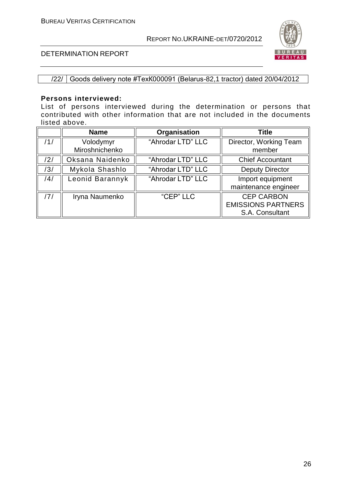

#### DETERMINATION REPORT

#### /22/ Goods delivery note #ТехК000091 (Belarus-82,1 tractor) dated 20/04/2012

#### **Persons interviewed:**

List of persons interviewed during the determination or persons that contributed with other information that are not included in the documents listed above.

|     | <b>Name</b>                 | Organisation      | <b>Title</b>                                                      |
|-----|-----------------------------|-------------------|-------------------------------------------------------------------|
| /1/ | Volodymyr<br>Miroshnichenko | "Ahrodar LTD" LLC | Director, Working Team<br>member                                  |
| /2/ | Oksana Naidenko             | "Ahrodar LTD" LLC | <b>Chief Accountant</b>                                           |
| /3/ | Mykola Shashlo              | "Ahrodar LTD" LLC | <b>Deputy Director</b>                                            |
| /4/ | Leonid Barannyk             | "Ahrodar LTD" LLC | Import equipment<br>maintenance engineer                          |
| /7/ | Iryna Naumenko              | "CEP" LLC         | <b>CEP CARBON</b><br><b>EMISSIONS PARTNERS</b><br>S.A. Consultant |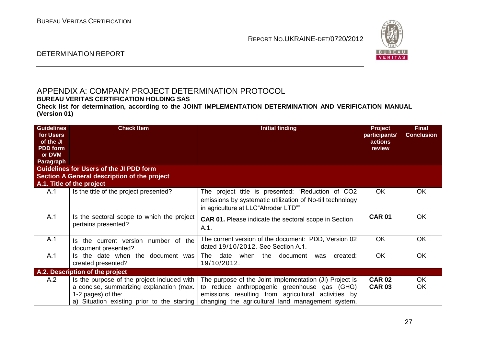

#### DETERMINATION REPORT

# APPENDIX A: COMPANY PROJECT DETERMINATION PROTOCOL

**BUREAU VERITAS CERTIFICATION HOLDING SAS**

**Check list for determination, according to the JOINT IMPLEMENTATION DETERMINATION AND VERIFICATION MANUAL (Version 01)**

| <b>Guidelines</b><br>for Users | <b>Check Item</b>                                                  | <b>Initial finding</b>                                                                                                                                | <b>Project</b><br>participants' | <b>Final</b><br><b>Conclusion</b> |
|--------------------------------|--------------------------------------------------------------------|-------------------------------------------------------------------------------------------------------------------------------------------------------|---------------------------------|-----------------------------------|
| of the JI                      |                                                                    |                                                                                                                                                       | actions                         |                                   |
| <b>PDD</b> form                |                                                                    |                                                                                                                                                       | review                          |                                   |
| or DVM                         |                                                                    |                                                                                                                                                       |                                 |                                   |
| Paragraph                      |                                                                    |                                                                                                                                                       |                                 |                                   |
|                                | <b>Guidelines for Users of the JI PDD form</b>                     |                                                                                                                                                       |                                 |                                   |
|                                | Section A General description of the project                       |                                                                                                                                                       |                                 |                                   |
|                                | A.1. Title of the project                                          |                                                                                                                                                       |                                 |                                   |
| A.1                            | Is the title of the project presented?                             | The project title is presented: "Reduction of CO2<br>emissions by systematic utilization of No-till technology<br>in agriculture at LLC"Ahrodar LTD"" | <b>OK</b>                       | <b>OK</b>                         |
| A.1                            | Is the sectoral scope to which the project<br>pertains presented?  | <b>CAR 01.</b> Please indicate the sectoral scope in Section<br>A.1.                                                                                  | <b>CAR 01</b>                   | <b>OK</b>                         |
| A.1                            | the current version<br>number of the<br>ls.<br>document presented? | The current version of the document: PDD, Version 02<br>dated 19/10/2012. See Section A.1.                                                            | <b>OK</b>                       | <b>OK</b>                         |
| A.1                            | Is the date when the<br>document<br>was<br>created presented?      | date<br>when<br>The<br>the<br>document<br>created:<br>was<br>19/10/2012.                                                                              | <b>OK</b>                       | <b>OK</b>                         |
|                                | A.2. Description of the project                                    |                                                                                                                                                       |                                 |                                   |
| A.2                            | Is the purpose of the project included with                        | The purpose of the Joint Implementation (JI) Project is                                                                                               | <b>CAR 02</b>                   | OK.                               |
|                                | a concise, summarizing explanation (max.                           | to reduce anthropogenic greenhouse gas (GHG)                                                                                                          | <b>CAR 03</b>                   | <b>OK</b>                         |
|                                | 1-2 pages) of the:                                                 | emissions resulting from agricultural activities by                                                                                                   |                                 |                                   |
|                                | a) Situation existing prior to the starting                        | changing the agricultural land management system,                                                                                                     |                                 |                                   |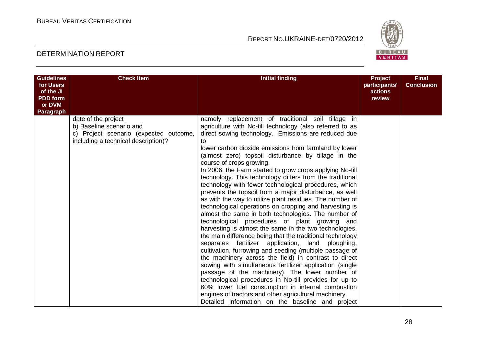

| <b>Guidelines</b><br>for Users | <b>Check Item</b>                                                             | <b>Initial finding</b>                                                                                               | Project<br>participants' | <b>Final</b><br><b>Conclusion</b> |
|--------------------------------|-------------------------------------------------------------------------------|----------------------------------------------------------------------------------------------------------------------|--------------------------|-----------------------------------|
| of the JI<br><b>PDD</b> form   |                                                                               |                                                                                                                      | actions<br>review        |                                   |
| or DVM                         |                                                                               |                                                                                                                      |                          |                                   |
| Paragraph                      | date of the project                                                           | namely replacement of traditional soil tillage in                                                                    |                          |                                   |
|                                | b) Baseline scenario and                                                      | agriculture with No-till technology (also referred to as                                                             |                          |                                   |
|                                | c) Project scenario (expected outcome,<br>including a technical description)? | direct sowing technology. Emissions are reduced due<br>to                                                            |                          |                                   |
|                                |                                                                               | lower carbon dioxide emissions from farmland by lower                                                                |                          |                                   |
|                                |                                                                               | (almost zero) topsoil disturbance by tillage in the                                                                  |                          |                                   |
|                                |                                                                               | course of crops growing.                                                                                             |                          |                                   |
|                                |                                                                               | In 2006, the Farm started to grow crops applying No-till<br>technology. This technology differs from the traditional |                          |                                   |
|                                |                                                                               | technology with fewer technological procedures, which                                                                |                          |                                   |
|                                |                                                                               | prevents the topsoil from a major disturbance, as well                                                               |                          |                                   |
|                                |                                                                               | as with the way to utilize plant residues. The number of                                                             |                          |                                   |
|                                |                                                                               | technological operations on cropping and harvesting is<br>almost the same in both technologies. The number of        |                          |                                   |
|                                |                                                                               | technological procedures of plant growing and                                                                        |                          |                                   |
|                                |                                                                               | harvesting is almost the same in the two technologies,                                                               |                          |                                   |
|                                |                                                                               | the main difference being that the traditional technology                                                            |                          |                                   |
|                                |                                                                               | separates fertilizer application,<br>land<br>ploughing,                                                              |                          |                                   |
|                                |                                                                               | cultivation, furrowing and seeding (multiple passage of<br>the machinery across the field) in contrast to direct     |                          |                                   |
|                                |                                                                               | sowing with simultaneous fertilizer application (single                                                              |                          |                                   |
|                                |                                                                               | passage of the machinery). The lower number of                                                                       |                          |                                   |
|                                |                                                                               | technological procedures in No-till provides for up to                                                               |                          |                                   |
|                                |                                                                               | 60% lower fuel consumption in internal combustion                                                                    |                          |                                   |
|                                |                                                                               | engines of tractors and other agricultural machinery.                                                                |                          |                                   |
|                                |                                                                               | Detailed information on the baseline and project                                                                     |                          |                                   |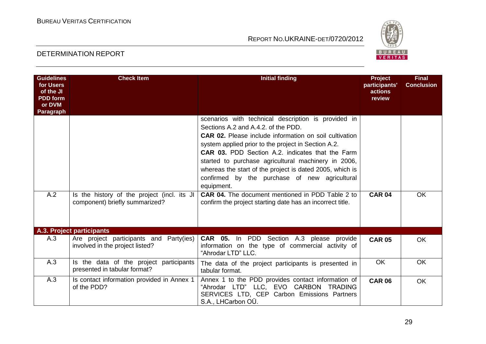

| <b>Guidelines</b><br>for Users<br>of the JI<br><b>PDD</b> form<br>or DVM<br>Paragraph | <b>Check Item</b>                                                          | <b>Initial finding</b>                                                                                                                                                                                                                                                                                                                                                                                                                                                                                                     | Project<br>participants'<br><b>actions</b><br>review | <b>Final</b><br><b>Conclusion</b> |
|---------------------------------------------------------------------------------------|----------------------------------------------------------------------------|----------------------------------------------------------------------------------------------------------------------------------------------------------------------------------------------------------------------------------------------------------------------------------------------------------------------------------------------------------------------------------------------------------------------------------------------------------------------------------------------------------------------------|------------------------------------------------------|-----------------------------------|
| A.2                                                                                   | Is the history of the project (incl. its JI                                | scenarios with technical description is provided in<br>Sections A.2 and A.4.2. of the PDD.<br><b>CAR 02.</b> Please include information on soil cultivation<br>system applied prior to the project in Section A.2.<br><b>CAR 03.</b> PDD Section A.2. indicates that the Farm<br>started to purchase agricultural machinery in 2006,<br>whereas the start of the project is dated 2005, which is<br>confirmed by the purchase of new agricultural<br>equipment.<br><b>CAR 04.</b> The document mentioned in PDD Table 2 to | <b>CAR 04</b>                                        | <b>OK</b>                         |
|                                                                                       | component) briefly summarized?                                             | confirm the project starting date has an incorrect title.                                                                                                                                                                                                                                                                                                                                                                                                                                                                  |                                                      |                                   |
|                                                                                       | A.3. Project participants                                                  |                                                                                                                                                                                                                                                                                                                                                                                                                                                                                                                            |                                                      |                                   |
| A.3                                                                                   | Are project participants and Party(ies)<br>involved in the project listed? | CAR 05. In PDD Section A.3 please provide<br>information on the type of commercial activity of<br>"Ahrodar LTD" LLC.                                                                                                                                                                                                                                                                                                                                                                                                       | <b>CAR 05</b>                                        | <b>OK</b>                         |
| A.3                                                                                   | Is the data of the project participants<br>presented in tabular format?    | The data of the project participants is presented in<br>tabular format.                                                                                                                                                                                                                                                                                                                                                                                                                                                    | <b>OK</b>                                            | <b>OK</b>                         |
| A.3                                                                                   | Is contact information provided in Annex 1<br>of the PDD?                  | Annex 1 to the PDD provides contact information of<br>"Ahrodar LTD" LLC, EVO CARBON TRADING<br>SERVICES LTD, CEP Carbon Emissions Partners<br>S.A., LHCarbon OÜ.                                                                                                                                                                                                                                                                                                                                                           | <b>CAR 06</b>                                        | <b>OK</b>                         |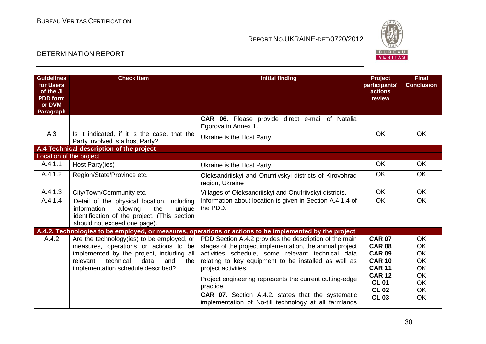

| <b>Guidelines</b><br>for Users<br>of the JI<br><b>PDD</b> form<br>or DVM<br>Paragraph | <b>Check Item</b>                                                                                                                                                                                                     | <b>Initial finding</b>                                                                                                                                                                                                                                                                                                                                                                                                                              | <b>Project</b><br>participants'<br>actions<br>review                                                                                               | <b>Final</b><br><b>Conclusion</b>                                                                          |
|---------------------------------------------------------------------------------------|-----------------------------------------------------------------------------------------------------------------------------------------------------------------------------------------------------------------------|-----------------------------------------------------------------------------------------------------------------------------------------------------------------------------------------------------------------------------------------------------------------------------------------------------------------------------------------------------------------------------------------------------------------------------------------------------|----------------------------------------------------------------------------------------------------------------------------------------------------|------------------------------------------------------------------------------------------------------------|
|                                                                                       |                                                                                                                                                                                                                       | <b>CAR 06.</b> Please provide direct e-mail of Natalia<br>Egorova in Annex 1.                                                                                                                                                                                                                                                                                                                                                                       |                                                                                                                                                    |                                                                                                            |
| A.3                                                                                   | Is it indicated, if it is the case, that the<br>Party involved is a host Party?                                                                                                                                       | Ukraine is the Host Party.                                                                                                                                                                                                                                                                                                                                                                                                                          | <b>OK</b>                                                                                                                                          | <b>OK</b>                                                                                                  |
|                                                                                       | A.4 Technical description of the project                                                                                                                                                                              |                                                                                                                                                                                                                                                                                                                                                                                                                                                     |                                                                                                                                                    |                                                                                                            |
| Location of the project                                                               |                                                                                                                                                                                                                       |                                                                                                                                                                                                                                                                                                                                                                                                                                                     |                                                                                                                                                    |                                                                                                            |
| A.4.1.1                                                                               | Host Party(ies)                                                                                                                                                                                                       | Ukraine is the Host Party.                                                                                                                                                                                                                                                                                                                                                                                                                          | <b>OK</b>                                                                                                                                          | <b>OK</b>                                                                                                  |
| A.4.1.2                                                                               | Region/State/Province etc.                                                                                                                                                                                            | Oleksandriiskyi and Onufriivskyi districts of Kirovohrad<br>region, Ukraine                                                                                                                                                                                                                                                                                                                                                                         | <b>OK</b>                                                                                                                                          | <b>OK</b>                                                                                                  |
| $A.4.1.\overline{3}$                                                                  | City/Town/Community etc.                                                                                                                                                                                              | Villages of Oleksandriiskyi and Onufriivskyi districts.                                                                                                                                                                                                                                                                                                                                                                                             | <b>OK</b>                                                                                                                                          | <b>OK</b>                                                                                                  |
| A.4.1.4                                                                               | Detail of the physical location, including<br>information<br>allowing<br>the<br>unique<br>identification of the project. (This section<br>should not exceed one page).                                                | Information about location is given in Section A.4.1.4 of<br>the PDD.                                                                                                                                                                                                                                                                                                                                                                               | <b>OK</b>                                                                                                                                          | <b>OK</b>                                                                                                  |
|                                                                                       |                                                                                                                                                                                                                       | A.4.2. Technologies to be employed, or measures, operations or actions to be implemented by the project                                                                                                                                                                                                                                                                                                                                             |                                                                                                                                                    |                                                                                                            |
| A.4.2                                                                                 | Are the technology(ies) to be employed, or<br>measures, operations or actions to be<br>implemented by the project, including all<br>technical<br>data<br>relevant<br>and<br>the<br>implementation schedule described? | PDD Section A.4.2 provides the description of the main<br>stages of the project implementation, the annual project<br>activities schedule, some relevant technical data<br>relating to key equipment to be installed as well as<br>project activities.<br>Project engineering represents the current cutting-edge<br>practice.<br><b>CAR 07.</b> Section A.4.2. states that the systematic<br>implementation of No-till technology at all farmlands | <b>CAR 07</b><br><b>CAR 08</b><br><b>CAR 09</b><br><b>CAR 10</b><br><b>CAR 11</b><br><b>CAR 12</b><br><b>CL 01</b><br><b>CL 02</b><br><b>CL 03</b> | <b>OK</b><br><b>OK</b><br><b>OK</b><br><b>OK</b><br><b>OK</b><br><b>OK</b><br><b>OK</b><br><b>OK</b><br>OK |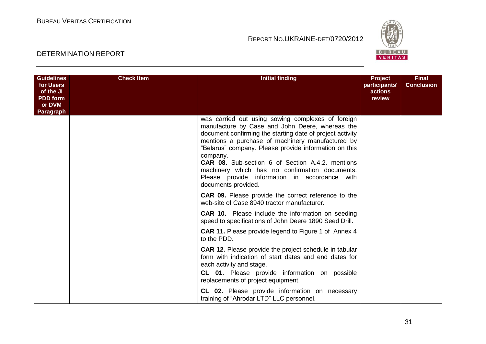

| <b>Guidelines</b><br>for Users<br>of the JI<br><b>PDD</b> form<br>or DVM<br>Paragraph | <b>Check Item</b> | <b>Initial finding</b>                                                                                                                                                                                                                                                                                                                                                                                                                                                                                                                                                                                                                                                                                      | <b>Project</b><br>participants'<br>actions<br>review | <b>Final</b><br><b>Conclusion</b> |
|---------------------------------------------------------------------------------------|-------------------|-------------------------------------------------------------------------------------------------------------------------------------------------------------------------------------------------------------------------------------------------------------------------------------------------------------------------------------------------------------------------------------------------------------------------------------------------------------------------------------------------------------------------------------------------------------------------------------------------------------------------------------------------------------------------------------------------------------|------------------------------------------------------|-----------------------------------|
|                                                                                       |                   | was carried out using sowing complexes of foreign<br>manufacture by Case and John Deere, whereas the<br>document confirming the starting date of project activity<br>mentions a purchase of machinery manufactured by<br>"Belarus" company. Please provide information on this<br>company.<br>CAR 08. Sub-section 6 of Section A.4.2. mentions<br>machinery which has no confirmation documents.<br>Please provide information in accordance with<br>documents provided.<br><b>CAR 09.</b> Please provide the correct reference to the<br>web-site of Case 8940 tractor manufacturer.<br><b>CAR 10.</b> Please include the information on seeding<br>speed to specifications of John Deere 1890 Seed Drill. |                                                      |                                   |
|                                                                                       |                   | <b>CAR 11.</b> Please provide legend to Figure 1 of Annex 4<br>to the PDD.                                                                                                                                                                                                                                                                                                                                                                                                                                                                                                                                                                                                                                  |                                                      |                                   |
|                                                                                       |                   | <b>CAR 12.</b> Please provide the project schedule in tabular<br>form with indication of start dates and end dates for<br>each activity and stage.<br>CL 01. Please provide information on possible<br>replacements of project equipment.                                                                                                                                                                                                                                                                                                                                                                                                                                                                   |                                                      |                                   |
|                                                                                       |                   | CL 02. Please provide information on necessary<br>training of "Ahrodar LTD" LLC personnel.                                                                                                                                                                                                                                                                                                                                                                                                                                                                                                                                                                                                                  |                                                      |                                   |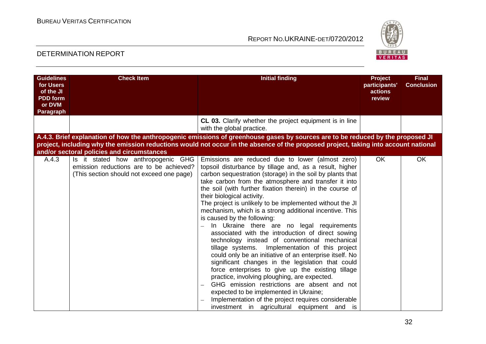

| <b>Guidelines</b><br>for Users<br>of the JI<br><b>PDD</b> form<br>or DVM<br><b>Paragraph</b> | <b>Check Item</b>                                                                                                          | <b>Initial finding</b>                                                                                                                                                                                                                                                                                                                                                                                                                                                                                                                                                                                                                                                                                                                                                                                                                                                                                                                                                                                                                                                                                        | Project<br>participants'<br>actions<br>review | <b>Final</b><br><b>Conclusion</b> |
|----------------------------------------------------------------------------------------------|----------------------------------------------------------------------------------------------------------------------------|---------------------------------------------------------------------------------------------------------------------------------------------------------------------------------------------------------------------------------------------------------------------------------------------------------------------------------------------------------------------------------------------------------------------------------------------------------------------------------------------------------------------------------------------------------------------------------------------------------------------------------------------------------------------------------------------------------------------------------------------------------------------------------------------------------------------------------------------------------------------------------------------------------------------------------------------------------------------------------------------------------------------------------------------------------------------------------------------------------------|-----------------------------------------------|-----------------------------------|
|                                                                                              |                                                                                                                            | CL 03. Clarify whether the project equipment is in line<br>with the global practice.                                                                                                                                                                                                                                                                                                                                                                                                                                                                                                                                                                                                                                                                                                                                                                                                                                                                                                                                                                                                                          |                                               |                                   |
|                                                                                              | and/or sectoral policies and circumstances                                                                                 | A.4.3. Brief explanation of how the anthropogenic emissions of greenhouse gases by sources are to be reduced by the proposed JI<br>project, including why the emission reductions would not occur in the absence of the proposed project, taking into account national                                                                                                                                                                                                                                                                                                                                                                                                                                                                                                                                                                                                                                                                                                                                                                                                                                        |                                               |                                   |
| A.4.3                                                                                        | Is it stated how anthropogenic GHG<br>emission reductions are to be achieved?<br>(This section should not exceed one page) | Emissions are reduced due to lower (almost zero)<br>topsoil disturbance by tillage and, as a result, higher<br>carbon sequestration (storage) in the soil by plants that<br>take carbon from the atmosphere and transfer it into<br>the soil (with further fixation therein) in the course of<br>their biological activity.<br>The project is unlikely to be implemented without the JI<br>mechanism, which is a strong additional incentive. This<br>is caused by the following:<br>In Ukraine there are no legal requirements<br>associated with the introduction of direct sowing<br>technology instead of conventional mechanical<br>tillage systems. Implementation of this project<br>could only be an initiative of an enterprise itself. No<br>significant changes in the legislation that could<br>force enterprises to give up the existing tillage<br>practice, involving ploughing, are expected.<br>GHG emission restrictions are absent and not<br>expected to be implemented in Ukraine;<br>Implementation of the project requires considerable<br>investment in agricultural equipment and is | <b>OK</b>                                     | OK                                |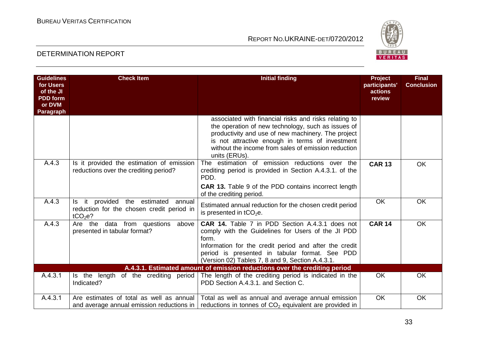

| <b>Guidelines</b><br>for Users<br>of the JI<br><b>PDD</b> form<br>or DVM<br>Paragraph | <b>Check Item</b>                                                                                    | <b>Initial finding</b>                                                                                                                                                                                                                                                                       | <b>Project</b><br>participants'<br>actions<br>review | <b>Final</b><br><b>Conclusion</b> |
|---------------------------------------------------------------------------------------|------------------------------------------------------------------------------------------------------|----------------------------------------------------------------------------------------------------------------------------------------------------------------------------------------------------------------------------------------------------------------------------------------------|------------------------------------------------------|-----------------------------------|
|                                                                                       |                                                                                                      | associated with financial risks and risks relating to<br>the operation of new technology, such as issues of<br>productivity and use of new machinery. The project<br>is not attractive enough in terms of investment<br>without the income from sales of emission reduction<br>units (ERUs). |                                                      |                                   |
| A.4.3                                                                                 | Is it provided the estimation of emission<br>reductions over the crediting period?                   | The estimation of emission reductions over the<br>crediting period is provided in Section A.4.3.1. of the<br>PDD.<br><b>CAR 13.</b> Table 9 of the PDD contains incorrect length<br>of the crediting period.                                                                                 | <b>CAR 13</b>                                        | <b>OK</b>                         |
| A.4.3                                                                                 | it provided the estimated annual<br>reduction for the chosen credit period in<br>tCO <sub>2</sub> e? | Estimated annual reduction for the chosen credit period<br>is presented in $tCO2e$ .                                                                                                                                                                                                         | <b>OK</b>                                            | <b>OK</b>                         |
| A.4.3                                                                                 | Are the data from questions above<br>presented in tabular format?                                    | CAR 14. Table 7 in PDD Section A.4.3.1 does not<br>comply with the Guidelines for Users of the JI PDD<br>form.<br>Information for the credit period and after the credit<br>period is presented in tabular format. See PDD<br>(Version 02) Tables 7, 8 and 9, Section A.4.3.1.               | <b>CAR 14</b>                                        | <b>OK</b>                         |
|                                                                                       |                                                                                                      | A.4.3.1. Estimated amount of emission reductions over the crediting period                                                                                                                                                                                                                   |                                                      |                                   |
| A.4.3.1                                                                               | Is the length of the crediting period<br>Indicated?                                                  | The length of the crediting period is indicated in the<br>PDD Section A.4.3.1. and Section C.                                                                                                                                                                                                | <b>OK</b>                                            | <b>OK</b>                         |
| A.4.3.1                                                                               | Are estimates of total as well as annual<br>and average annual emission reductions in                | Total as well as annual and average annual emission<br>reductions in tonnes of CO <sub>2</sub> equivalent are provided in                                                                                                                                                                    | <b>OK</b>                                            | OK                                |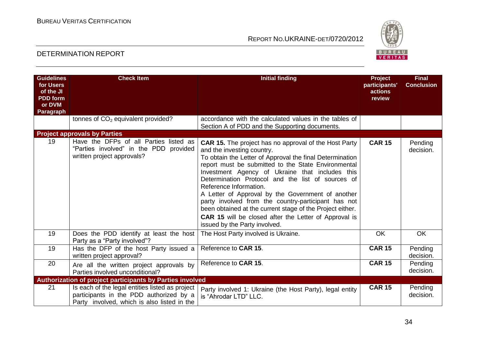

| <b>Guidelines</b><br>for Users<br>of the JI<br><b>PDD</b> form<br>or DVM<br>Paragraph | <b>Check Item</b>                                                                                                                         | <b>Initial finding</b>                                                                                                                                                                                                                                                                                                                                                                                                                                                                                                                                                                                                    | <b>Project</b><br>participants'<br>actions<br>review | <b>Final</b><br><b>Conclusion</b> |
|---------------------------------------------------------------------------------------|-------------------------------------------------------------------------------------------------------------------------------------------|---------------------------------------------------------------------------------------------------------------------------------------------------------------------------------------------------------------------------------------------------------------------------------------------------------------------------------------------------------------------------------------------------------------------------------------------------------------------------------------------------------------------------------------------------------------------------------------------------------------------------|------------------------------------------------------|-----------------------------------|
|                                                                                       | tonnes of CO <sub>2</sub> equivalent provided?                                                                                            | accordance with the calculated values in the tables of<br>Section A of PDD and the Supporting documents.                                                                                                                                                                                                                                                                                                                                                                                                                                                                                                                  |                                                      |                                   |
|                                                                                       | <b>Project approvals by Parties</b>                                                                                                       |                                                                                                                                                                                                                                                                                                                                                                                                                                                                                                                                                                                                                           |                                                      |                                   |
| 19                                                                                    | Have the DFPs of all Parties listed as<br>"Parties involved" in the PDD<br>provided<br>written project approvals?                         | <b>CAR 15.</b> The project has no approval of the Host Party<br>and the investing country.<br>To obtain the Letter of Approval the final Determination<br>report must be submitted to the State Environmental<br>Investment Agency of Ukraine that includes this<br>Determination Protocol and the list of sources of<br>Reference Information.<br>A Letter of Approval by the Government of another<br>party involved from the country-participant has not<br>been obtained at the current stage of the Project either.<br><b>CAR 15</b> will be closed after the Letter of Approval is<br>issued by the Party involved. | <b>CAR 15</b>                                        | Pending<br>decision.              |
| 19                                                                                    | Does the PDD identify at least the host<br>Party as a "Party involved"?                                                                   | The Host Party involved is Ukraine.                                                                                                                                                                                                                                                                                                                                                                                                                                                                                                                                                                                       | <b>OK</b>                                            | OK                                |
| 19                                                                                    | Has the DFP of the host Party issued a<br>written project approval?                                                                       | Reference to CAR 15.                                                                                                                                                                                                                                                                                                                                                                                                                                                                                                                                                                                                      | <b>CAR 15</b>                                        | Pending<br>decision.              |
| 20                                                                                    | Are all the written project approvals by<br>Parties involved unconditional?                                                               | Reference to CAR 15.                                                                                                                                                                                                                                                                                                                                                                                                                                                                                                                                                                                                      | <b>CAR 15</b>                                        | Pending<br>decision.              |
|                                                                                       | <b>Authorization of project participants by Parties involved</b>                                                                          |                                                                                                                                                                                                                                                                                                                                                                                                                                                                                                                                                                                                                           |                                                      |                                   |
| 21                                                                                    | Is each of the legal entities listed as project<br>participants in the PDD authorized by a<br>Party involved, which is also listed in the | Party involved 1: Ukraine (the Host Party), legal entity<br>is "Ahrodar LTD" LLC.                                                                                                                                                                                                                                                                                                                                                                                                                                                                                                                                         | <b>CAR 15</b>                                        | Pending<br>decision.              |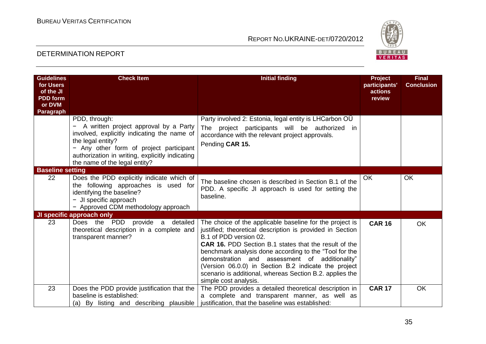

| <b>Guidelines</b><br>for Users<br>of the JI<br><b>PDD</b> form<br>or DVM<br>Paragraph | <b>Check Item</b>                                                                                                                                                                                                                                         | <b>Initial finding</b>                                                                                                                                                                                                                                                                                                                                                                                                                                                   | <b>Project</b><br>participants'<br>actions<br>review | <b>Final</b><br><b>Conclusion</b> |
|---------------------------------------------------------------------------------------|-----------------------------------------------------------------------------------------------------------------------------------------------------------------------------------------------------------------------------------------------------------|--------------------------------------------------------------------------------------------------------------------------------------------------------------------------------------------------------------------------------------------------------------------------------------------------------------------------------------------------------------------------------------------------------------------------------------------------------------------------|------------------------------------------------------|-----------------------------------|
|                                                                                       | PDD, through:<br>A written project approval by a Party<br>involved, explicitly indicating the name of<br>the legal entity?<br>- Any other form of project participant<br>authorization in writing, explicitly indicating<br>the name of the legal entity? | Party involved 2: Estonia, legal entity is LHCarbon OU<br>The project participants will be authorized in<br>accordance with the relevant project approvals.<br>Pending CAR 15.                                                                                                                                                                                                                                                                                           |                                                      |                                   |
| <b>Baseline setting</b>                                                               |                                                                                                                                                                                                                                                           |                                                                                                                                                                                                                                                                                                                                                                                                                                                                          |                                                      |                                   |
| 22                                                                                    | Does the PDD explicitly indicate which of<br>the following approaches is used for<br>identifying the baseline?<br>- JI specific approach<br>- Approved CDM methodology approach                                                                           | The baseline chosen is described in Section B.1 of the<br>PDD. A specific JI approach is used for setting the<br>baseline.                                                                                                                                                                                                                                                                                                                                               | OK                                                   | <b>OK</b>                         |
|                                                                                       | JI specific approach only                                                                                                                                                                                                                                 |                                                                                                                                                                                                                                                                                                                                                                                                                                                                          |                                                      |                                   |
| 23                                                                                    | Does the PDD provide a detailed<br>theoretical description in a complete and<br>transparent manner?                                                                                                                                                       | The choice of the applicable baseline for the project is<br>justified; theoretical description is provided in Section<br>B.1 of PDD version 02.<br><b>CAR 16.</b> PDD Section B.1 states that the result of the<br>benchmark analysis done according to the "Tool for the<br>demonstration and assessment of additionality"<br>(Version 06.0.0) in Section B.2 indicate the project<br>scenario is additional, whereas Section B.2. applies the<br>simple cost analysis. | <b>CAR 16</b>                                        | <b>OK</b>                         |
| 23                                                                                    | Does the PDD provide justification that the                                                                                                                                                                                                               | The PDD provides a detailed theoretical description in                                                                                                                                                                                                                                                                                                                                                                                                                   | <b>CAR 17</b>                                        | <b>OK</b>                         |
|                                                                                       | baseline is established:<br>(a) By listing and describing plausible                                                                                                                                                                                       | a complete and transparent manner, as well as<br>justification, that the baseline was established:                                                                                                                                                                                                                                                                                                                                                                       |                                                      |                                   |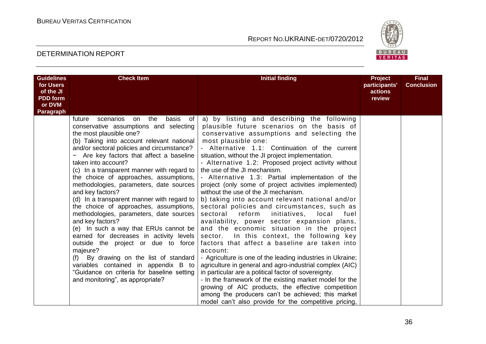

| <b>Guidelines</b><br>for Users | <b>Check Item</b>                                                                                                                                                                                                                                                                                                                                                                                                                                                                                                                                                                                                                                                                                                                                                                                                                                                                                            | <b>Initial finding</b>                                                                                                                                                                                                                                                                                                                                                                                                                                                                                                                                                                                                                                                                                                                                                                                                                                                                                                                                                                                                                                                                                                                                                                                                                                                                               | Project<br>participants' | <b>Final</b><br><b>Conclusion</b> |
|--------------------------------|--------------------------------------------------------------------------------------------------------------------------------------------------------------------------------------------------------------------------------------------------------------------------------------------------------------------------------------------------------------------------------------------------------------------------------------------------------------------------------------------------------------------------------------------------------------------------------------------------------------------------------------------------------------------------------------------------------------------------------------------------------------------------------------------------------------------------------------------------------------------------------------------------------------|------------------------------------------------------------------------------------------------------------------------------------------------------------------------------------------------------------------------------------------------------------------------------------------------------------------------------------------------------------------------------------------------------------------------------------------------------------------------------------------------------------------------------------------------------------------------------------------------------------------------------------------------------------------------------------------------------------------------------------------------------------------------------------------------------------------------------------------------------------------------------------------------------------------------------------------------------------------------------------------------------------------------------------------------------------------------------------------------------------------------------------------------------------------------------------------------------------------------------------------------------------------------------------------------------|--------------------------|-----------------------------------|
| of the JI                      |                                                                                                                                                                                                                                                                                                                                                                                                                                                                                                                                                                                                                                                                                                                                                                                                                                                                                                              |                                                                                                                                                                                                                                                                                                                                                                                                                                                                                                                                                                                                                                                                                                                                                                                                                                                                                                                                                                                                                                                                                                                                                                                                                                                                                                      | actions                  |                                   |
| <b>PDD</b> form                |                                                                                                                                                                                                                                                                                                                                                                                                                                                                                                                                                                                                                                                                                                                                                                                                                                                                                                              |                                                                                                                                                                                                                                                                                                                                                                                                                                                                                                                                                                                                                                                                                                                                                                                                                                                                                                                                                                                                                                                                                                                                                                                                                                                                                                      | review                   |                                   |
| or DVM                         |                                                                                                                                                                                                                                                                                                                                                                                                                                                                                                                                                                                                                                                                                                                                                                                                                                                                                                              |                                                                                                                                                                                                                                                                                                                                                                                                                                                                                                                                                                                                                                                                                                                                                                                                                                                                                                                                                                                                                                                                                                                                                                                                                                                                                                      |                          |                                   |
| Paragraph                      | the<br>basis<br>scenarios<br>of<br>future<br>on<br>conservative assumptions and selecting<br>the most plausible one?<br>(b) Taking into account relevant national<br>and/or sectoral policies and circumstance?<br>Are key factors that affect a baseline<br>taken into account?<br>(c) In a transparent manner with regard to<br>the choice of approaches, assumptions,<br>methodologies, parameters, date sources<br>and key factors?<br>(d) In a transparent manner with regard to<br>the choice of approaches, assumptions,<br>methodologies, parameters, date sources<br>and key factors?<br>(e) In such a way that ERUs cannot be<br>earned for decreases in activity levels<br>outside the project or due to force<br>majeure?<br>By drawing on the list of standard<br>(f)<br>variables contained in appendix B to<br>"Guidance on criteria for baseline setting<br>and monitoring", as appropriate? | a) by listing and describing the following<br>plausible future scenarios on the basis of<br>conservative assumptions and selecting the<br>most plausible one:<br>- Alternative 1.1: Continuation of the current<br>situation, without the JI project implementation.<br>- Alternative 1.2: Proposed project activity without<br>the use of the JI mechanism.<br>- Alternative 1.3: Partial implementation of the<br>project (only some of project activities implemented)<br>without the use of the JI mechanism.<br>b) taking into account relevant national and/or<br>sectoral policies and circumstances, such as<br>sectoral reform<br>initiatives,<br>local<br>fuel<br>availability, power sector expansion plans,<br>and the economic situation in the project<br>In this context, the following key<br>sector.<br>factors that affect a baseline are taken into<br>account:<br>- Agriculture is one of the leading industries in Ukraine;<br>agriculture in general and agro-industrial complex (AIC)<br>in particular are a political factor of sovereignty.<br>- In the framework of the existing market model for the<br>growing of AIC products, the effective competition<br>among the producers can't be achieved; this market<br>model can't also provide for the competitive pricing, |                          |                                   |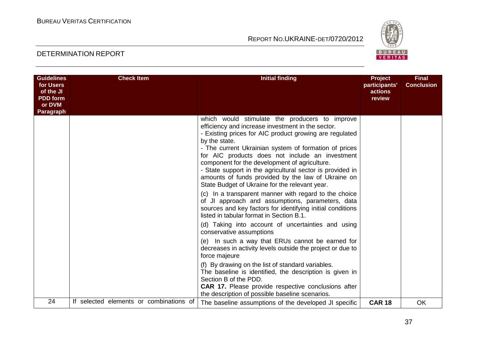

| <b>Guidelines</b><br>for Users<br>of the JI<br><b>PDD</b> form<br>or DVM<br>Paragraph | <b>Check Item</b>                       | <b>Initial finding</b>                                                                                                                                                                                                                                                                                                                                                                                                                                                                                                                                                                                                                                                                                                                                                                              | <b>Project</b><br>participants'<br>actions<br>review | <b>Final</b><br><b>Conclusion</b> |
|---------------------------------------------------------------------------------------|-----------------------------------------|-----------------------------------------------------------------------------------------------------------------------------------------------------------------------------------------------------------------------------------------------------------------------------------------------------------------------------------------------------------------------------------------------------------------------------------------------------------------------------------------------------------------------------------------------------------------------------------------------------------------------------------------------------------------------------------------------------------------------------------------------------------------------------------------------------|------------------------------------------------------|-----------------------------------|
|                                                                                       |                                         | which would stimulate the producers to improve<br>efficiency and increase investment in the sector.<br>- Existing prices for AIC product growing are regulated<br>by the state.<br>- The current Ukrainian system of formation of prices<br>for AIC products does not include an investment<br>component for the development of agriculture.<br>- State support in the agricultural sector is provided in<br>amounts of funds provided by the law of Ukraine on<br>State Budget of Ukraine for the relevant year.<br>In a transparent manner with regard to the choice<br>(C) =<br>of JI approach and assumptions, parameters, data<br>sources and key factors for identifying initial conditions<br>listed in tabular format in Section B.1.<br>(d) Taking into account of uncertainties and using |                                                      |                                   |
|                                                                                       |                                         | conservative assumptions<br>(e) In such a way that ERUs cannot be earned for<br>decreases in activity levels outside the project or due to<br>force majeure                                                                                                                                                                                                                                                                                                                                                                                                                                                                                                                                                                                                                                         |                                                      |                                   |
|                                                                                       |                                         | (f) By drawing on the list of standard variables.<br>The baseline is identified, the description is given in<br>Section B of the PDD.<br><b>CAR 17.</b> Please provide respective conclusions after<br>the description of possible baseline scenarios.                                                                                                                                                                                                                                                                                                                                                                                                                                                                                                                                              |                                                      |                                   |
| 24                                                                                    | If selected elements or combinations of | The baseline assumptions of the developed JI specific                                                                                                                                                                                                                                                                                                                                                                                                                                                                                                                                                                                                                                                                                                                                               | <b>CAR 18</b>                                        | OK                                |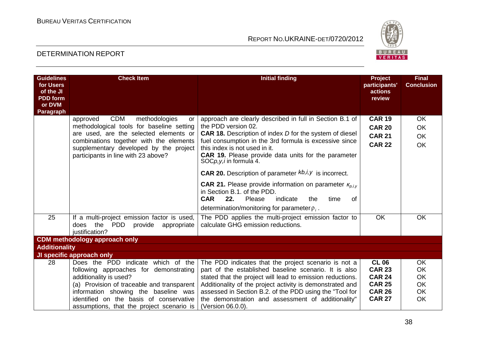

| <b>Guidelines</b><br>for Users<br>of the JI<br><b>PDD</b> form<br>or DVM<br><b>Paragraph</b> | <b>Check Item</b>                                                                                                                                                                                                                                                                    | <b>Initial finding</b>                                                                                                                                                                                                                                                                                                                                                                                                                                                                      | Project<br>participants'<br>actions<br>review                                                     | <b>Final</b><br><b>Conclusion</b>                            |
|----------------------------------------------------------------------------------------------|--------------------------------------------------------------------------------------------------------------------------------------------------------------------------------------------------------------------------------------------------------------------------------------|---------------------------------------------------------------------------------------------------------------------------------------------------------------------------------------------------------------------------------------------------------------------------------------------------------------------------------------------------------------------------------------------------------------------------------------------------------------------------------------------|---------------------------------------------------------------------------------------------------|--------------------------------------------------------------|
|                                                                                              | <b>CDM</b><br>methodologies<br>approved<br>or<br>methodological tools for baseline setting<br>are used, are the selected elements or<br>combinations together with the elements<br>supplementary developed by the project<br>participants in line with 23 above?                     | approach are clearly described in full in Section B.1 of<br>the PDD version 02.<br><b>CAR 18.</b> Description of index <i>D</i> for the system of diesel<br>fuel consumption in the 3rd formula is excessive since<br>this index is not used in it.<br><b>CAR 19.</b> Please provide data units for the parameter<br>SOC <i>p,y,i</i> in formula 4.<br><b>CAR 20.</b> Description of parameter $kb, i, y$ is incorrect.<br><b>CAR 21.</b> Please provide information on parameter $K_{0,1}$ | <b>CAR 19</b><br><b>CAR 20</b><br><b>CAR 21</b><br><b>CAR 22</b>                                  | <b>OK</b><br><b>OK</b><br><b>OK</b><br>OK                    |
|                                                                                              |                                                                                                                                                                                                                                                                                      | in Section B.1, of the PDD.<br><b>CAR</b><br>22.<br>Please<br>indicate<br>of<br>the<br>time<br>determination/monitoring for parameter $\rho_i$ .                                                                                                                                                                                                                                                                                                                                            |                                                                                                   |                                                              |
| 25                                                                                           | If a multi-project emission factor is used,<br>the<br>PDD<br>provide<br>appropriate<br>does<br>justification?                                                                                                                                                                        | The PDD applies the multi-project emission factor to<br>calculate GHG emission reductions.                                                                                                                                                                                                                                                                                                                                                                                                  | OK                                                                                                | OK                                                           |
|                                                                                              | <b>CDM</b> methodology approach only                                                                                                                                                                                                                                                 |                                                                                                                                                                                                                                                                                                                                                                                                                                                                                             |                                                                                                   |                                                              |
| <b>Additionality</b>                                                                         |                                                                                                                                                                                                                                                                                      |                                                                                                                                                                                                                                                                                                                                                                                                                                                                                             |                                                                                                   |                                                              |
|                                                                                              | JI specific approach only                                                                                                                                                                                                                                                            |                                                                                                                                                                                                                                                                                                                                                                                                                                                                                             |                                                                                                   |                                                              |
| 28                                                                                           | Does the PDD indicate which of the<br>following approaches for demonstrating<br>additionality is used?<br>(a) Provision of traceable and transparent<br>information showing the baseline was<br>identified on the basis of conservative<br>assumptions, that the project scenario is | The PDD indicates that the project scenario is not a<br>part of the established baseline scenario. It is also<br>stated that the project will lead to emission reductions.<br>Additionality of the project activity is demonstrated and<br>assessed in Section B.2. of the PDD using the "Tool for<br>the demonstration and assessment of additionality"<br>(Version 06.0.0).                                                                                                               | <b>CL 06</b><br><b>CAR 23</b><br><b>CAR 24</b><br><b>CAR 25</b><br><b>CAR 26</b><br><b>CAR 27</b> | <b>OK</b><br><b>OK</b><br>OK<br><b>OK</b><br><b>OK</b><br>OK |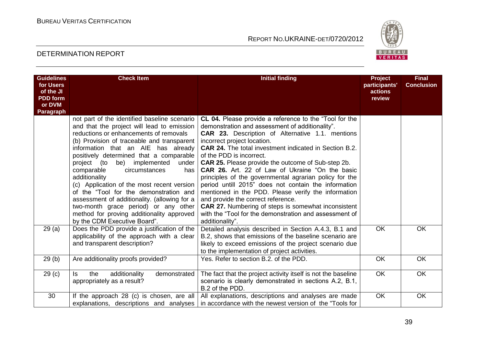

| <b>Guidelines</b><br>for Users<br>of the JI<br><b>PDD</b> form<br>or DVM<br>Paragraph | <b>Check Item</b>                                                                                                                                                                                                                                                                                                                                                                                                                                                                                                                                                                                                                   | <b>Initial finding</b>                                                                                                                                                                                                                                                                                                                                                                                                                                                                                                                                                                                                                                                                                                                                                     | <b>Project</b><br>participants'<br>actions<br>review | <b>Final</b><br><b>Conclusion</b> |
|---------------------------------------------------------------------------------------|-------------------------------------------------------------------------------------------------------------------------------------------------------------------------------------------------------------------------------------------------------------------------------------------------------------------------------------------------------------------------------------------------------------------------------------------------------------------------------------------------------------------------------------------------------------------------------------------------------------------------------------|----------------------------------------------------------------------------------------------------------------------------------------------------------------------------------------------------------------------------------------------------------------------------------------------------------------------------------------------------------------------------------------------------------------------------------------------------------------------------------------------------------------------------------------------------------------------------------------------------------------------------------------------------------------------------------------------------------------------------------------------------------------------------|------------------------------------------------------|-----------------------------------|
|                                                                                       | not part of the identified baseline scenario<br>and that the project will lead to emission<br>reductions or enhancements of removals<br>(b) Provision of traceable and transparent<br>information that an AIE has already<br>positively determined that a comparable<br>be) implemented<br>under<br>project (to<br>comparable<br>circumstances<br>has<br>additionality<br>(c) Application of the most recent version<br>of the "Tool for the demonstration and<br>assessment of additionality. (allowing for a<br>two-month grace period) or any other<br>method for proving additionality approved<br>by the CDM Executive Board". | CL 04. Please provide a reference to the "Tool for the<br>demonstration and assessment of additionality".<br>CAR 23. Description of Alternative 1.1. mentions<br>incorrect project location.<br><b>CAR 24.</b> The total investment indicated in Section B.2.<br>of the PDD is incorrect.<br><b>CAR 25.</b> Please provide the outcome of Sub-step 2b.<br><b>CAR 26.</b> Art. 22 of Law of Ukraine "On the basic<br>principles of the governmental agrarian policy for the<br>period untill 2015" does not contain the information<br>mentioned in the PDD. Please verify the information<br>and provide the correct reference.<br><b>CAR 27.</b> Numbering of steps is somewhat inconsistent<br>with the "Tool for the demonstration and assessment of<br>additionality". |                                                      |                                   |
| 29(a)                                                                                 | Does the PDD provide a justification of the<br>applicability of the approach with a clear<br>and transparent description?                                                                                                                                                                                                                                                                                                                                                                                                                                                                                                           | Detailed analysis described in Section A.4.3, B.1 and<br>B.2, shows that emissions of the baseline scenario are<br>likely to exceed emissions of the project scenario due<br>to the implementation of project activities.                                                                                                                                                                                                                                                                                                                                                                                                                                                                                                                                                  | <b>OK</b>                                            | <b>OK</b>                         |
| 29(b)                                                                                 | Are additionality proofs provided?                                                                                                                                                                                                                                                                                                                                                                                                                                                                                                                                                                                                  | Yes. Refer to section B.2. of the PDD.                                                                                                                                                                                                                                                                                                                                                                                                                                                                                                                                                                                                                                                                                                                                     | <b>OK</b>                                            | <b>OK</b>                         |
| 29 <sub>(c)</sub>                                                                     | the<br>additionality<br>demonstrated<br>ls.<br>appropriately as a result?                                                                                                                                                                                                                                                                                                                                                                                                                                                                                                                                                           | The fact that the project activity itself is not the baseline<br>scenario is clearly demonstrated in sections A.2, B.1,<br>B.2 of the PDD.                                                                                                                                                                                                                                                                                                                                                                                                                                                                                                                                                                                                                                 | <b>OK</b>                                            | OK                                |
| 30                                                                                    | If the approach 28 (c) is chosen, are all<br>explanations, descriptions and analyses                                                                                                                                                                                                                                                                                                                                                                                                                                                                                                                                                | All explanations, descriptions and analyses are made<br>in accordance with the newest version of the "Tools for                                                                                                                                                                                                                                                                                                                                                                                                                                                                                                                                                                                                                                                            | OK                                                   | OK                                |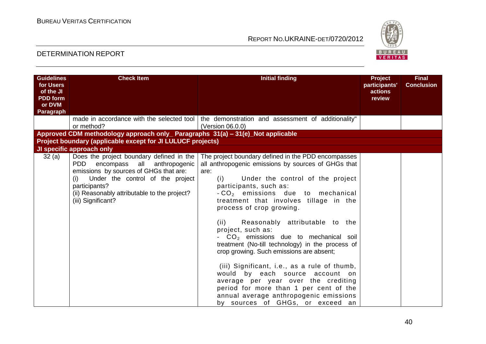

| <b>Guidelines</b><br>for Users<br>of the JI | <b>Check Item</b>                                                                     | <b>Initial finding</b>                                                                                             | Project<br>participants'<br>actions | <b>Final</b><br><b>Conclusion</b> |
|---------------------------------------------|---------------------------------------------------------------------------------------|--------------------------------------------------------------------------------------------------------------------|-------------------------------------|-----------------------------------|
| <b>PDD</b> form<br>or DVM                   |                                                                                       |                                                                                                                    | review                              |                                   |
| Paragraph                                   |                                                                                       |                                                                                                                    |                                     |                                   |
|                                             | or method?                                                                            | made in accordance with the selected tool   the demonstration and assessment of additionality"<br>(Version 06.0.0) |                                     |                                   |
|                                             | Approved CDM methodology approach only_ Paragraphs 31(a) - 31(e)_Not applicable       |                                                                                                                    |                                     |                                   |
|                                             | Project boundary (applicable except for JI LULUCF projects)                           |                                                                                                                    |                                     |                                   |
|                                             | JI specific approach only                                                             |                                                                                                                    |                                     |                                   |
| 32(a)                                       | Does the project boundary defined in the<br><b>PDD</b><br>encompass all anthropogenic | The project boundary defined in the PDD encompasses<br>all anthropogenic emissions by sources of GHGs that         |                                     |                                   |
|                                             | emissions by sources of GHGs that are:                                                | are:                                                                                                               |                                     |                                   |
|                                             | Under the control of the project<br>(i)                                               | Under the control of the project<br>(i)                                                                            |                                     |                                   |
|                                             | participants?                                                                         | participants, such as:                                                                                             |                                     |                                   |
|                                             | (ii) Reasonably attributable to the project?                                          | $-CO2$ emissions due to mechanical                                                                                 |                                     |                                   |
|                                             | (iii) Significant?                                                                    | treatment that involves tillage in the                                                                             |                                     |                                   |
|                                             |                                                                                       | process of crop growing.                                                                                           |                                     |                                   |
|                                             |                                                                                       | Reasonably attributable to the<br>(ii)                                                                             |                                     |                                   |
|                                             |                                                                                       | project, such as:                                                                                                  |                                     |                                   |
|                                             |                                                                                       | $CO2$ emissions due to mechanical soil                                                                             |                                     |                                   |
|                                             |                                                                                       | treatment (No-till technology) in the process of                                                                   |                                     |                                   |
|                                             |                                                                                       | crop growing. Such emissions are absent;                                                                           |                                     |                                   |
|                                             |                                                                                       |                                                                                                                    |                                     |                                   |
|                                             |                                                                                       | (iii) Significant, i.e., as a rule of thumb,                                                                       |                                     |                                   |
|                                             |                                                                                       | would by each source account on<br>average per year over the crediting                                             |                                     |                                   |
|                                             |                                                                                       | period for more than 1 per cent of the                                                                             |                                     |                                   |
|                                             |                                                                                       | annual average anthropogenic emissions                                                                             |                                     |                                   |
|                                             |                                                                                       | by sources of GHGs, or exceed an                                                                                   |                                     |                                   |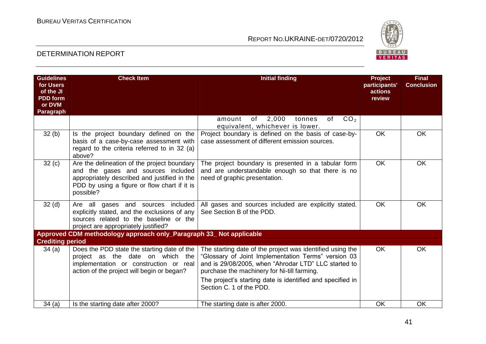

| <b>Guidelines</b><br>for Users<br>of the JI<br><b>PDD</b> form<br>or DVM<br>Paragraph | <b>Check Item</b>                                                                                                                                                                              | <b>Initial finding</b>                                                                                                                                                                                                                                                                                            | <b>Project</b><br>participants'<br>actions<br>review | <b>Final</b><br><b>Conclusion</b> |
|---------------------------------------------------------------------------------------|------------------------------------------------------------------------------------------------------------------------------------------------------------------------------------------------|-------------------------------------------------------------------------------------------------------------------------------------------------------------------------------------------------------------------------------------------------------------------------------------------------------------------|------------------------------------------------------|-----------------------------------|
|                                                                                       |                                                                                                                                                                                                | 2,000<br>CO <sub>2</sub><br>of<br>of<br>amount<br>tonnes<br>equivalent, whichever is lower.                                                                                                                                                                                                                       |                                                      |                                   |
| 32(b)                                                                                 | Is the project boundary defined on the<br>basis of a case-by-case assessment with<br>regard to the criteria referred to in 32 (a)<br>above?                                                    | Project boundary is defined on the basis of case-by-<br>case assessment of different emission sources.                                                                                                                                                                                                            | OK                                                   | OK                                |
| 32(c)                                                                                 | Are the delineation of the project boundary<br>and the gases and sources included<br>appropriately described and justified in the<br>PDD by using a figure or flow chart if it is<br>possible? | The project boundary is presented in a tabular form<br>and are understandable enough so that there is no<br>need of graphic presentation.                                                                                                                                                                         | <b>OK</b>                                            | <b>OK</b>                         |
| 32 <sub>(d)</sub>                                                                     | Are all gases and sources included<br>explicitly stated, and the exclusions of any<br>sources related to the baseline or the<br>project are appropriately justified?                           | All gases and sources included are explicitly stated.<br>See Section B of the PDD.                                                                                                                                                                                                                                | <b>OK</b>                                            | <b>OK</b>                         |
| <b>Crediting period</b>                                                               | Approved CDM methodology approach only_Paragraph 33_ Not applicable                                                                                                                            |                                                                                                                                                                                                                                                                                                                   |                                                      |                                   |
| 34(a)                                                                                 | Does the PDD state the starting date of the<br>project as the date on which the<br>implementation or construction or real<br>action of the project will begin or began?                        | The starting date of the project was identified using the<br>"Glossary of Joint Implementation Terms" version 03<br>and is 29/08/2005, when "Ahrodar LTD" LLC started to<br>purchase the machinery for Ni-till farming.<br>The project's starting date is identified and specified in<br>Section C. 1 of the PDD. | <b>OK</b>                                            | <b>OK</b>                         |
| 34(a)                                                                                 | Is the starting date after 2000?                                                                                                                                                               | The starting date is after 2000.                                                                                                                                                                                                                                                                                  | OK                                                   | OK                                |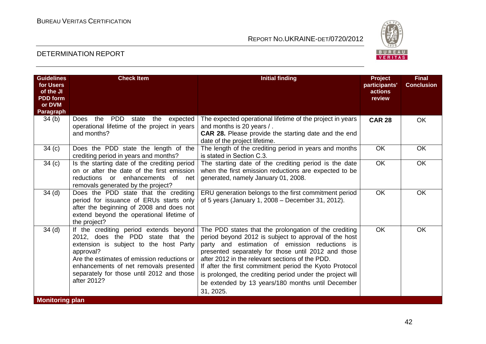

| <b>Guidelines</b><br>for Users<br>of the JI<br><b>PDD</b> form<br>or DVM<br>Paragraph | <b>Check Item</b>                                                                                                                                                                                                                                                                       | <b>Initial finding</b>                                                                                                                                                                                                                                                                                                                                                                                                                                               | Project<br>participants'<br>actions<br>review | <b>Final</b><br><b>Conclusion</b> |
|---------------------------------------------------------------------------------------|-----------------------------------------------------------------------------------------------------------------------------------------------------------------------------------------------------------------------------------------------------------------------------------------|----------------------------------------------------------------------------------------------------------------------------------------------------------------------------------------------------------------------------------------------------------------------------------------------------------------------------------------------------------------------------------------------------------------------------------------------------------------------|-----------------------------------------------|-----------------------------------|
| 34 <sub>(b)</sub>                                                                     | PDD state the expected<br>the<br>Does<br>operational lifetime of the project in years<br>and months?                                                                                                                                                                                    | The expected operational lifetime of the project in years<br>and months is 20 years /.<br><b>CAR 28.</b> Please provide the starting date and the end<br>date of the project lifetime.                                                                                                                                                                                                                                                                               | <b>CAR 28</b>                                 | <b>OK</b>                         |
| 34 <sub>(c)</sub>                                                                     | Does the PDD state the length of the<br>crediting period in years and months?                                                                                                                                                                                                           | The length of the crediting period in years and months<br>is stated in Section C.3.                                                                                                                                                                                                                                                                                                                                                                                  | OK                                            | <b>OK</b>                         |
| 34(c)                                                                                 | Is the starting date of the crediting period<br>on or after the date of the first emission<br>reductions or enhancements<br>of net<br>removals generated by the project?                                                                                                                | The starting date of the crediting period is the date<br>when the first emission reductions are expected to be<br>generated, namely January 01, 2008.                                                                                                                                                                                                                                                                                                                | <b>OK</b>                                     | OK                                |
| 34 <sub>(d)</sub>                                                                     | Does the PDD state that the crediting<br>period for issuance of ERUs starts only<br>after the beginning of 2008 and does not<br>extend beyond the operational lifetime of<br>the project?                                                                                               | ERU generation belongs to the first commitment period<br>of 5 years (January 1, 2008 – December 31, 2012).                                                                                                                                                                                                                                                                                                                                                           | OK                                            | <b>OK</b>                         |
| 34 <sub>(d)</sub>                                                                     | If the crediting period extends beyond<br>2012, does the PDD state that the<br>extension is subject to the host Party<br>approval?<br>Are the estimates of emission reductions or<br>enhancements of net removals presented<br>separately for those until 2012 and those<br>after 2012? | The PDD states that the prolongation of the crediting<br>period beyond 2012 is subject to approval of the host<br>party and estimation of emission reductions is<br>presented separately for those until 2012 and those<br>after 2012 in the relevant sections of the PDD.<br>If after the first commitment period the Kyoto Protocol<br>is prolonged, the crediting period under the project will<br>be extended by 13 years/180 months until December<br>31, 2025. | OK                                            | <b>OK</b>                         |
| <b>Monitoring plan</b>                                                                |                                                                                                                                                                                                                                                                                         |                                                                                                                                                                                                                                                                                                                                                                                                                                                                      |                                               |                                   |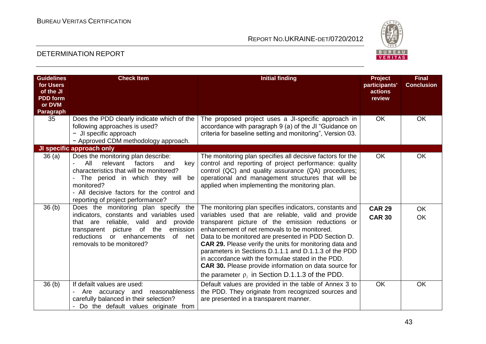

| <b>Guidelines</b><br>for Users<br>of the JI<br><b>PDD</b> form<br>or DVM<br>Paragraph | <b>Check Item</b>                                                                                                                                                                                                                                                                                                | <b>Initial finding</b>                                                                                                                                                                                                                                                                                                                                                                                                                                                                                                                                                         | <b>Project</b><br>participants'<br>actions<br>review | <b>Final</b><br><b>Conclusion</b> |
|---------------------------------------------------------------------------------------|------------------------------------------------------------------------------------------------------------------------------------------------------------------------------------------------------------------------------------------------------------------------------------------------------------------|--------------------------------------------------------------------------------------------------------------------------------------------------------------------------------------------------------------------------------------------------------------------------------------------------------------------------------------------------------------------------------------------------------------------------------------------------------------------------------------------------------------------------------------------------------------------------------|------------------------------------------------------|-----------------------------------|
| 35                                                                                    | Does the PDD clearly indicate which of the<br>following approaches is used?<br>- JI specific approach<br>- Approved CDM methodology approach.                                                                                                                                                                    | The proposed project uses a JI-specific approach in<br>accordance with paragraph 9 (a) of the JI "Guidance on<br>criteria for baseline setting and monitoring", Version 03.                                                                                                                                                                                                                                                                                                                                                                                                    | OK.                                                  | <b>OK</b>                         |
| 36(a)                                                                                 | JI specific approach only<br>Does the monitoring plan describe:<br>All<br>relevant<br>factors<br>and<br>key<br>$\blacksquare$<br>characteristics that will be monitored?<br>The period in which they will<br>be<br>monitored?<br>- All decisive factors for the control and<br>reporting of project performance? | The monitoring plan specifies all decisive factors for the<br>control and reporting of project performance: quality<br>control (QC) and quality assurance (QA) procedures;<br>operational and management structures that will be<br>applied when implementing the monitoring plan.                                                                                                                                                                                                                                                                                             | <b>OK</b>                                            | <b>OK</b>                         |
| 36 <sub>(b)</sub>                                                                     | Does the monitoring plan specify the<br>indicators, constants and variables used<br>that are reliable, valid<br>and<br>provide<br>picture of the<br>emission<br>transparent<br>reductions or enhancements<br>of net<br>removals to be monitored?                                                                 | The monitoring plan specifies indicators, constants and<br>variables used that are reliable, valid and provide<br>transparent picture of the emission reductions or<br>enhancement of net removals to be monitored.<br>Data to be monitored are presented in PDD Section D.<br>CAR 29. Please verify the units for monitoring data and<br>parameters in Sections D.1.1.1 and D.1.1.3 of the PDD<br>in accordance with the formulae stated in the PDD.<br><b>CAR 30.</b> Please provide information on data source for<br>the parameter $\rho_i$ in Section D.1.1.3 of the PDD. | <b>CAR 29</b><br><b>CAR 30</b>                       | <b>OK</b><br><b>OK</b>            |
| 36 <sub>(b)</sub>                                                                     | If defailt values are used:<br>reasonableness<br>Are accuracy and<br>carefully balanced in their selection?<br>Do the default values originate from                                                                                                                                                              | Default values are provided in the table of Annex 3 to<br>the PDD. They originate from recognized sources and<br>are presented in a transparent manner.                                                                                                                                                                                                                                                                                                                                                                                                                        | <b>OK</b>                                            | OK                                |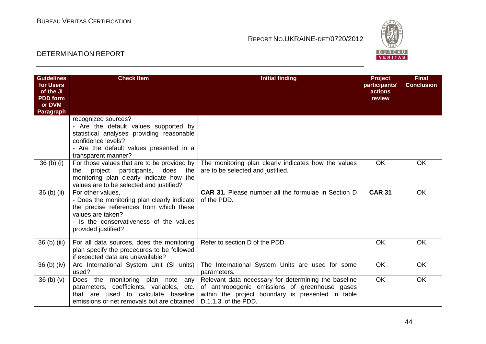

| <b>Guidelines</b><br>for Users<br>of the JI<br><b>PDD</b> form<br>or DVM<br>Paragraph | <b>Check Item</b>                                                                                                                                                                                  | <b>Initial finding</b>                                                                                                                                                              | <b>Project</b><br>participants'<br>actions<br>review | <b>Final</b><br><b>Conclusion</b> |
|---------------------------------------------------------------------------------------|----------------------------------------------------------------------------------------------------------------------------------------------------------------------------------------------------|-------------------------------------------------------------------------------------------------------------------------------------------------------------------------------------|------------------------------------------------------|-----------------------------------|
|                                                                                       | recognized sources?<br>- Are the default values supported by<br>statistical analyses providing reasonable<br>confidence levels?<br>- Are the default values presented in a<br>transparent manner?  |                                                                                                                                                                                     |                                                      |                                   |
| $36$ (b) (i)                                                                          | For those values that are to be provided by<br>does the<br>project<br>participants,<br>the<br>monitoring plan clearly indicate how the<br>values are to be selected and justified?                 | The monitoring plan clearly indicates how the values<br>are to be selected and justified.                                                                                           | <b>OK</b>                                            | <b>OK</b>                         |
| $36$ (b) (ii)                                                                         | For other values,<br>- Does the monitoring plan clearly indicate<br>the precise references from which these<br>values are taken?<br>- Is the conservativeness of the values<br>provided justified? | <b>CAR 31.</b> Please number all the formulae in Section D<br>of the PDD.                                                                                                           | <b>CAR 31</b>                                        | <b>OK</b>                         |
| 36 (b) (iii)                                                                          | For all data sources, does the monitoring<br>plan specify the procedures to be followed<br>if expected data are unavailable?                                                                       | Refer to section D of the PDD.                                                                                                                                                      | <b>OK</b>                                            | OK                                |
| $36$ (b) (iv)                                                                         | Are International System Unit (SI units)<br>used?                                                                                                                                                  | The International System Units are used for some<br>parameters.                                                                                                                     | <b>OK</b>                                            | <b>OK</b>                         |
| 36 <sub>(b)</sub> <sub>(v)</sub>                                                      | Does the monitoring<br>plan note<br>any<br>parameters, coefficients, variables, etc.<br>that are used to calculate<br>baseline<br>emissions or net removals but are obtained                       | Relevant data necessary for determining the baseline<br>of anthropogenic emissions of greenhouse gases<br>within the project boundary is presented in table<br>D.1.1.3. of the PDD. | <b>OK</b>                                            | <b>OK</b>                         |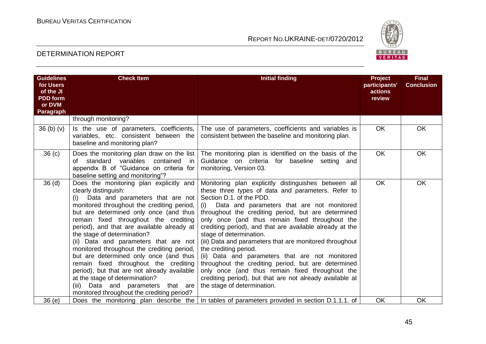

| <b>Guidelines</b><br>for Users<br>of the JI<br><b>PDD</b> form<br>or DVM | <b>Check Item</b>                                                                                                                                                                                                                                                                                                                                                                                                                                                                                                                                                                                                                                                    | <b>Initial finding</b>                                                                                                                                                                                                                                                                                                                                                                                                                                                                                                                                                                                                                                                                                                                | <b>Project</b><br>participants'<br>actions<br>review | <b>Final</b><br><b>Conclusion</b> |
|--------------------------------------------------------------------------|----------------------------------------------------------------------------------------------------------------------------------------------------------------------------------------------------------------------------------------------------------------------------------------------------------------------------------------------------------------------------------------------------------------------------------------------------------------------------------------------------------------------------------------------------------------------------------------------------------------------------------------------------------------------|---------------------------------------------------------------------------------------------------------------------------------------------------------------------------------------------------------------------------------------------------------------------------------------------------------------------------------------------------------------------------------------------------------------------------------------------------------------------------------------------------------------------------------------------------------------------------------------------------------------------------------------------------------------------------------------------------------------------------------------|------------------------------------------------------|-----------------------------------|
| Paragraph                                                                |                                                                                                                                                                                                                                                                                                                                                                                                                                                                                                                                                                                                                                                                      |                                                                                                                                                                                                                                                                                                                                                                                                                                                                                                                                                                                                                                                                                                                                       |                                                      |                                   |
|                                                                          | through monitoring?                                                                                                                                                                                                                                                                                                                                                                                                                                                                                                                                                                                                                                                  |                                                                                                                                                                                                                                                                                                                                                                                                                                                                                                                                                                                                                                                                                                                                       |                                                      |                                   |
| 36(b)(v)                                                                 | Is the use of parameters, coefficients,<br>variables, etc. consistent between the<br>baseline and monitoring plan?                                                                                                                                                                                                                                                                                                                                                                                                                                                                                                                                                   | The use of parameters, coefficients and variables is<br>consistent between the baseline and monitoring plan.                                                                                                                                                                                                                                                                                                                                                                                                                                                                                                                                                                                                                          | <b>OK</b>                                            | <b>OK</b>                         |
| 36 <sub>(c)</sub>                                                        | Does the monitoring plan draw on the list<br>variables<br>contained<br>of standard<br>in.<br>appendix B of "Guidance on criteria for<br>baseline setting and monitoring"?                                                                                                                                                                                                                                                                                                                                                                                                                                                                                            | The monitoring plan is identified on the basis of the<br>Guidance on criteria for baseline setting<br>and<br>monitoring, Version 03.                                                                                                                                                                                                                                                                                                                                                                                                                                                                                                                                                                                                  | <b>OK</b>                                            | <b>OK</b>                         |
| 36 <sub>(d)</sub>                                                        | Does the monitoring plan explicitly and<br>clearly distinguish:<br>(i) Data and parameters that are not<br>monitored throughout the crediting period,<br>but are determined only once (and thus<br>remain fixed throughout the crediting<br>period), and that are available already at<br>the stage of determination?<br>(ii) Data and parameters that are not<br>monitored throughout the crediting period,<br>but are determined only once (and thus<br>remain fixed throughout the crediting<br>period), but that are not already available<br>at the stage of determination?<br>(iii) Data and parameters that are<br>monitored throughout the crediting period? | Monitoring plan explicitly distinguishes between all<br>these three types of data and parameters. Refer to<br>Section D.1. of the PDD.<br>(i) Data and parameters that are not monitored<br>throughout the crediting period, but are determined<br>only once (and thus remain fixed throughout the<br>crediting period), and that are available already at the<br>stage of determination.<br>(iii) Data and parameters that are monitored throughout<br>the crediting period.<br>(ii) Data and parameters that are not monitored<br>throughout the crediting period, but are determined<br>only once (and thus remain fixed throughout the<br>crediting period), but that are not already available at<br>the stage of determination. | <b>OK</b>                                            | <b>OK</b>                         |
| 36 (e)                                                                   | Does the monitoring plan describe the                                                                                                                                                                                                                                                                                                                                                                                                                                                                                                                                                                                                                                | In tables of parameters provided in section D.1.1.1. of                                                                                                                                                                                                                                                                                                                                                                                                                                                                                                                                                                                                                                                                               | OK                                                   | OK                                |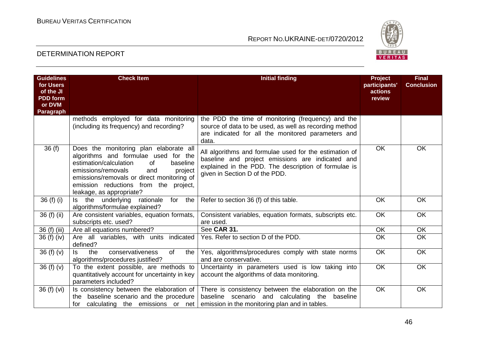

| <b>Guidelines</b><br>for Users<br>of the JI | <b>Check Item</b>                                                                                                                                                                                                                                                                     | <b>Initial finding</b>                                                                                                                                                                               | <b>Project</b><br>participants'<br>actions | <b>Final</b><br><b>Conclusion</b> |
|---------------------------------------------|---------------------------------------------------------------------------------------------------------------------------------------------------------------------------------------------------------------------------------------------------------------------------------------|------------------------------------------------------------------------------------------------------------------------------------------------------------------------------------------------------|--------------------------------------------|-----------------------------------|
| <b>PDD</b> form                             |                                                                                                                                                                                                                                                                                       |                                                                                                                                                                                                      | review                                     |                                   |
| or DVM<br>Paragraph                         |                                                                                                                                                                                                                                                                                       |                                                                                                                                                                                                      |                                            |                                   |
|                                             | methods employed for data monitoring<br>(including its frequency) and recording?                                                                                                                                                                                                      | the PDD the time of monitoring (frequency) and the<br>source of data to be used, as well as recording method<br>are indicated for all the monitored parameters and<br>data.                          |                                            |                                   |
| 36(f)                                       | Does the monitoring plan elaborate all<br>algorithms and formulae used for the<br>estimation/calculation<br>baseline<br>of<br>emissions/removals<br>and<br>project<br>emissions/removals or direct monitoring of<br>emission reductions from the project,<br>leakage, as appropriate? | All algorithms and formulae used for the estimation of<br>baseline and project emissions are indicated and<br>explained in the PDD. The description of formulae is<br>given in Section D of the PDD. | <b>OK</b>                                  | <b>OK</b>                         |
| 36(f)(i)                                    | the<br>Is the underlying<br>rationale<br>for<br>algorithms/formulae explained?                                                                                                                                                                                                        | Refer to section 36 (f) of this table.                                                                                                                                                               | OK                                         | OK                                |
| 36 (f) (ii)                                 | Are consistent variables, equation formats,<br>subscripts etc. used?                                                                                                                                                                                                                  | Consistent variables, equation formats, subscripts etc.<br>are used.                                                                                                                                 | OK                                         | OK                                |
| 36 (f) (iii)                                | Are all equations numbered?                                                                                                                                                                                                                                                           | See CAR 31.                                                                                                                                                                                          | OK                                         | <b>OK</b>                         |
| 36 (f) (iv)                                 | Are all variables, with units indicated<br>defined?                                                                                                                                                                                                                                   | Yes. Refer to section D of the PDD.                                                                                                                                                                  | OK                                         | OK                                |
| 36 $(f)(v)$                                 | ls.<br>conservativeness<br>of<br>the<br>the<br>algorithms/procedures justified?                                                                                                                                                                                                       | Yes, algorithms/procedures comply with state norms<br>and are conservative.                                                                                                                          | OK                                         | OK                                |
| 36 $(f)(v)$                                 | To the extent possible, are methods to<br>quantitatively account for uncertainty in key<br>parameters included?                                                                                                                                                                       | Uncertainty in parameters used is low taking into<br>account the algorithms of data monitoring.                                                                                                      | <b>OK</b>                                  | <b>OK</b>                         |
| 36 (f) (vi)                                 | Is consistency between the elaboration of<br>the baseline scenario and the procedure<br>for calculating the emissions or net                                                                                                                                                          | There is consistency between the elaboration on the<br>baseline scenario and calculating the<br>baseline<br>emission in the monitoring plan and in tables.                                           | <b>OK</b>                                  | OK                                |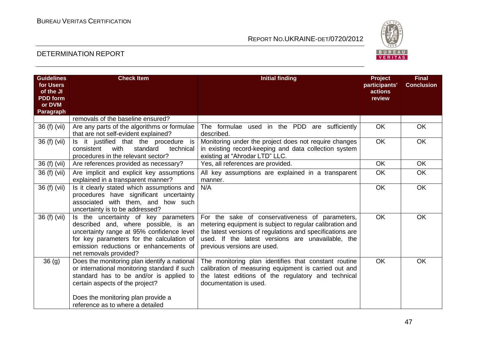

| <b>Guidelines</b><br>for Users<br>of the JI | <b>Check Item</b>                                                                                                                                                                                                                                    | <b>Initial finding</b>                                                                                                                                                                                                                                       | Project<br>participants'<br>actions | <b>Final</b><br><b>Conclusion</b> |
|---------------------------------------------|------------------------------------------------------------------------------------------------------------------------------------------------------------------------------------------------------------------------------------------------------|--------------------------------------------------------------------------------------------------------------------------------------------------------------------------------------------------------------------------------------------------------------|-------------------------------------|-----------------------------------|
| <b>PDD</b> form                             |                                                                                                                                                                                                                                                      |                                                                                                                                                                                                                                                              | review                              |                                   |
| or DVM<br>Paragraph                         |                                                                                                                                                                                                                                                      |                                                                                                                                                                                                                                                              |                                     |                                   |
|                                             | removals of the baseline ensured?                                                                                                                                                                                                                    |                                                                                                                                                                                                                                                              |                                     |                                   |
| 36 (f) (vii)                                | Are any parts of the algorithms or formulae<br>that are not self-evident explained?                                                                                                                                                                  | The formulae used in the PDD<br>are sufficiently<br>described.                                                                                                                                                                                               | OK                                  | <b>OK</b>                         |
| 36 (f) (vii)                                | Is it justified that the procedure is<br>with<br>standard<br>consistent<br>technical<br>procedures in the relevant sector?                                                                                                                           | Monitoring under the project does not require changes<br>in existing record-keeping and data collection system<br>existing at "Ahrodar LTD" LLC.                                                                                                             | $\overline{OK}$                     | OK                                |
| 36 (f) (vii)                                | Are references provided as necessary?                                                                                                                                                                                                                | Yes, all references are provided.                                                                                                                                                                                                                            | <b>OK</b>                           | <b>OK</b>                         |
| 36 (f) (vii)                                | Are implicit and explicit key assumptions<br>explained in a transparent manner?                                                                                                                                                                      | All key assumptions are explained in a transparent<br>manner.                                                                                                                                                                                                | $\overline{OK}$                     | OK                                |
| 36 (f) (vii)                                | Is it clearly stated which assumptions and<br>procedures have significant uncertainty<br>associated with them, and how such<br>uncertainty is to be addressed?                                                                                       | N/A                                                                                                                                                                                                                                                          | <b>OK</b>                           | <b>OK</b>                         |
| 36 (f) (vii)                                | Is the uncertainty of key parameters<br>described and, where possible, is an<br>uncertainty range at 95% confidence level<br>for key parameters for the calculation of<br>emission reductions or enhancements of<br>net removals provided?           | For the sake of conservativeness of parameters,<br>metering equipment is subject to regular calibration and<br>the latest versions of regulations and specifications are<br>used. If the latest versions are unavailable, the<br>previous versions are used. | <b>OK</b>                           | <b>OK</b>                         |
| 36(9)                                       | Does the monitoring plan identify a national<br>or international monitoring standard if such<br>standard has to be and/or is applied to<br>certain aspects of the project?<br>Does the monitoring plan provide a<br>reference as to where a detailed | The monitoring plan identifies that constant routine<br>calibration of measuring equipment is carried out and<br>the latest editions of the regulatory and technical<br>documentation is used.                                                               | OK                                  | <b>OK</b>                         |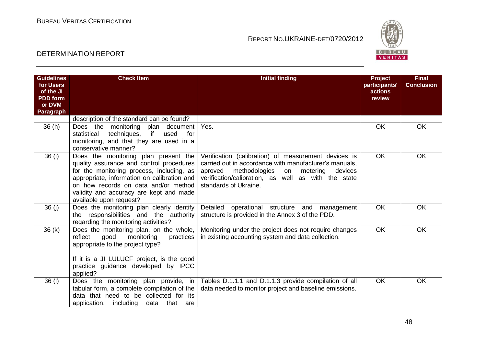

| <b>Guidelines</b><br>for Users<br>of the JI<br><b>PDD</b> form<br>or DVM<br>Paragraph | <b>Check Item</b>                                                                                                                                                                                                                                                                          | <b>Initial finding</b>                                                                                                                                                                                                                                  | Project<br>participants'<br>actions<br>review | <b>Final</b><br><b>Conclusion</b> |
|---------------------------------------------------------------------------------------|--------------------------------------------------------------------------------------------------------------------------------------------------------------------------------------------------------------------------------------------------------------------------------------------|---------------------------------------------------------------------------------------------------------------------------------------------------------------------------------------------------------------------------------------------------------|-----------------------------------------------|-----------------------------------|
|                                                                                       | description of the standard can be found?                                                                                                                                                                                                                                                  |                                                                                                                                                                                                                                                         |                                               |                                   |
| 36(h)                                                                                 | Does the monitoring<br>plan document<br>if<br>used<br>statistical<br>techniques,<br>for<br>monitoring, and that they are used in a<br>conservative manner?                                                                                                                                 | Yes.                                                                                                                                                                                                                                                    | OK                                            | <b>OK</b>                         |
| 36 (i)                                                                                | Does the monitoring plan present the<br>quality assurance and control procedures<br>for the monitoring process, including, as<br>appropriate, information on calibration and<br>on how records on data and/or method<br>validity and accuracy are kept and made<br>available upon request? | Verification (calibration) of measurement devices is<br>carried out in accordance with manufacturer's manuals,<br>aproved<br>methodologies<br>metering<br>devices<br>on<br>verification/calibration, as well as with the state<br>standards of Ukraine. | OK                                            | <b>OK</b>                         |
| 36 (j)                                                                                | Does the monitoring plan clearly identify<br>the responsibilities and the authority<br>regarding the monitoring activities?                                                                                                                                                                | Detailed<br>operational structure and management<br>structure is provided in the Annex 3 of the PDD.                                                                                                                                                    | <b>OK</b>                                     | <b>OK</b>                         |
| 36(k)                                                                                 | Does the monitoring plan, on the whole,<br>reflect<br>good<br>monitoring<br>practices<br>appropriate to the project type?<br>If it is a JI LULUCF project, is the good<br>practice guidance developed by IPCC<br>applied?                                                                  | Monitoring under the project does not require changes<br>in existing accounting system and data collection.                                                                                                                                             | <b>OK</b>                                     | <b>OK</b>                         |
| 36 (I)                                                                                | Does the monitoring plan provide, in<br>tabular form, a complete compilation of the<br>data that need to be collected for its<br>application,<br>including<br>data that are                                                                                                                | Tables D.1.1.1 and D.1.1.3 provide compilation of all<br>data needed to monitor project and baseline emissions.                                                                                                                                         | <b>OK</b>                                     | <b>OK</b>                         |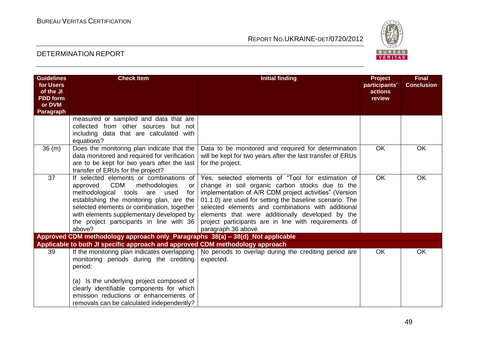

| <b>Guidelines</b><br>for Users<br>of the JI<br><b>PDD</b> form<br>or DVM<br>Paragraph | <b>Check Item</b>                                                                                                                                                                                                                                                                                                            | <b>Initial finding</b>                                                                                                                                                                                                                                                                                                                                                                                              | <b>Project</b><br>participants'<br>actions<br>review | <b>Final</b><br><b>Conclusion</b> |
|---------------------------------------------------------------------------------------|------------------------------------------------------------------------------------------------------------------------------------------------------------------------------------------------------------------------------------------------------------------------------------------------------------------------------|---------------------------------------------------------------------------------------------------------------------------------------------------------------------------------------------------------------------------------------------------------------------------------------------------------------------------------------------------------------------------------------------------------------------|------------------------------------------------------|-----------------------------------|
|                                                                                       | measured or sampled and data that are<br>collected from other sources but not<br>including data that are calculated with<br>equations?                                                                                                                                                                                       |                                                                                                                                                                                                                                                                                                                                                                                                                     |                                                      |                                   |
| 36(m)                                                                                 | Does the monitoring plan indicate that the<br>data monitored and required for verification<br>are to be kept for two years after the last<br>transfer of ERUs for the project?                                                                                                                                               | Data to be monitored and required for determination<br>will be kept for two years after the last transfer of ERUs<br>for the project.                                                                                                                                                                                                                                                                               | <b>OK</b>                                            | OK                                |
| 37                                                                                    | If selected elements or combinations of<br>CDM<br>methodologies<br>approved<br>or<br>methodological<br>tools<br>are used<br>for<br>establishing the monitoring plan, are the<br>selected elements or combination, together<br>with elements supplementary developed by<br>the project participants in line with 36<br>above? | Yes, selected elements of "Tool for estimation of<br>change in soil organic carbon stocks due to the<br>implementation of A/R CDM project activities" (Version<br>01.1.0) are used for setting the baseline scenario. The<br>selected elements and combinations with additional<br>elements that were additionally developed by the<br>project participants are in line with requirements of<br>paragraph 36 above. | <b>OK</b>                                            | OK                                |
|                                                                                       | Approved CDM methodology approach only_Paragraphs 38(a) - 38(d)_Not applicable                                                                                                                                                                                                                                               |                                                                                                                                                                                                                                                                                                                                                                                                                     |                                                      |                                   |
| 39                                                                                    | Applicable to both JI specific approach and approved CDM methodology approach<br>If the monitoring plan indicates overlapping<br>monitoring periods during the crediting<br>period:                                                                                                                                          | No periods to overlap during the crediting period are<br>expected.                                                                                                                                                                                                                                                                                                                                                  | <b>OK</b>                                            | <b>OK</b>                         |
|                                                                                       | (a) Is the underlying project composed of<br>clearly identifiable components for which<br>emission reductions or enhancements of<br>removals can be calculated independently?                                                                                                                                                |                                                                                                                                                                                                                                                                                                                                                                                                                     |                                                      |                                   |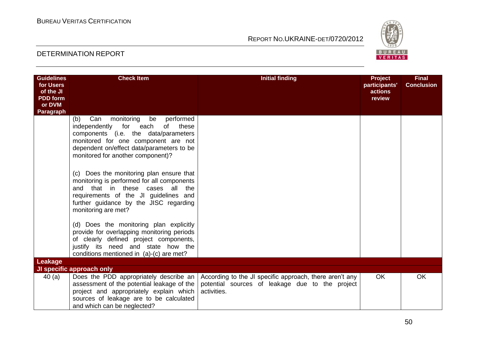

| <b>Guidelines</b><br>for Users<br>of the JI<br><b>PDD</b> form<br>or DVM<br><b>Paragraph</b> | <b>Check Item</b>                                                                                                                                                                                                                                     | <b>Initial finding</b>                                                                                                    | <b>Project</b><br>participants'<br>actions<br>review | <b>Final</b><br><b>Conclusion</b> |
|----------------------------------------------------------------------------------------------|-------------------------------------------------------------------------------------------------------------------------------------------------------------------------------------------------------------------------------------------------------|---------------------------------------------------------------------------------------------------------------------------|------------------------------------------------------|-----------------------------------|
|                                                                                              | Can<br>(b)<br>monitoring<br>performed<br>be<br>independently for each<br>these<br>of<br>components (i.e. the data/parameters<br>monitored for one component are not<br>dependent on/effect data/parameters to be<br>monitored for another component)? |                                                                                                                           |                                                      |                                   |
|                                                                                              | (c) Does the monitoring plan ensure that<br>monitoring is performed for all components<br>and that in these cases all<br>the<br>requirements of the JI guidelines and<br>further guidance by the JISC regarding<br>monitoring are met?                |                                                                                                                           |                                                      |                                   |
|                                                                                              | (d) Does the monitoring plan explicitly<br>provide for overlapping monitoring periods<br>of clearly defined project components,<br>justify its need and state how the<br>conditions mentioned in (a)-(c) are met?                                     |                                                                                                                           |                                                      |                                   |
| <b>Leakage</b>                                                                               | JI specific approach only                                                                                                                                                                                                                             |                                                                                                                           |                                                      |                                   |
| 40(a)                                                                                        | Does the PDD appropriately describe an<br>assessment of the potential leakage of the<br>project and appropriately explain which<br>sources of leakage are to be calculated<br>and which can be neglected?                                             | According to the JI specific approach, there aren't any<br>potential sources of leakage due to the project<br>activities. | <b>OK</b>                                            | <b>OK</b>                         |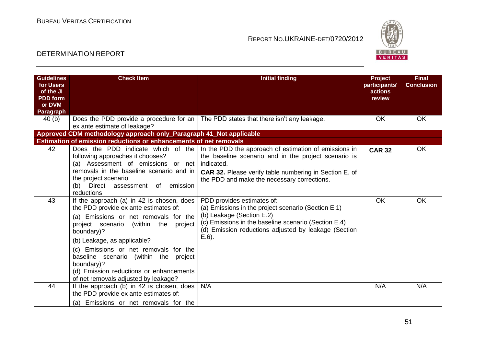

| <b>Guidelines</b><br>for Users<br>of the JI | <b>Check Item</b>                                                                                                                                                                                                                                                                                                                                                                                         | <b>Initial finding</b>                                                                                                                                                                                                                      | <b>Project</b><br>participants'<br>actions | <b>Final</b><br><b>Conclusion</b> |
|---------------------------------------------|-----------------------------------------------------------------------------------------------------------------------------------------------------------------------------------------------------------------------------------------------------------------------------------------------------------------------------------------------------------------------------------------------------------|---------------------------------------------------------------------------------------------------------------------------------------------------------------------------------------------------------------------------------------------|--------------------------------------------|-----------------------------------|
| <b>PDD</b> form<br>or DVM<br>Paragraph      |                                                                                                                                                                                                                                                                                                                                                                                                           |                                                                                                                                                                                                                                             | review                                     |                                   |
| 40(b)                                       | Does the PDD provide a procedure for an<br>ex ante estimate of leakage?                                                                                                                                                                                                                                                                                                                                   | The PDD states that there isn't any leakage.                                                                                                                                                                                                | <b>OK</b>                                  | OK                                |
|                                             | Approved CDM methodology approach only_Paragraph 41_Not applicable                                                                                                                                                                                                                                                                                                                                        |                                                                                                                                                                                                                                             |                                            |                                   |
|                                             | Estimation of emission reductions or enhancements of net removals                                                                                                                                                                                                                                                                                                                                         |                                                                                                                                                                                                                                             |                                            |                                   |
| 42                                          | Does the PDD indicate which of the<br>following approaches it chooses?<br>(a) Assessment of emissions or net<br>removals in the baseline scenario and in<br>the project scenario<br>assessment of emission<br>(b)<br>Direct<br>reductions                                                                                                                                                                 | In the PDD the approach of estimation of emissions in<br>the baseline scenario and in the project scenario is<br>indicated.<br><b>CAR 32.</b> Please verify table numbering in Section E. of<br>the PDD and make the necessary corrections. | <b>CAR 32</b>                              | OK                                |
| 43                                          | If the approach (a) in 42 is chosen, does<br>the PDD provide ex ante estimates of:<br>(a) Emissions or net removals for the<br>project scenario (within<br>the<br>project<br>boundary)?<br>(b) Leakage, as applicable?<br>(c) Emissions or net removals for the<br>baseline scenario (within the project<br>boundary)?<br>(d) Emission reductions or enhancements<br>of net removals adjusted by leakage? | PDD provides estimates of:<br>(a) Emissions in the project scenario (Section E.1)<br>(b) Leakage (Section E.2)<br>(c) Emissions in the baseline scenario (Section E.4)<br>(d) Emission reductions adjusted by leakage (Section<br>$E.6$ ).  | <b>OK</b>                                  | <b>OK</b>                         |
| 44                                          | If the approach (b) in 42 is chosen, does<br>the PDD provide ex ante estimates of:<br>(a) Emissions or net removals for the                                                                                                                                                                                                                                                                               | N/A                                                                                                                                                                                                                                         | N/A                                        | N/A                               |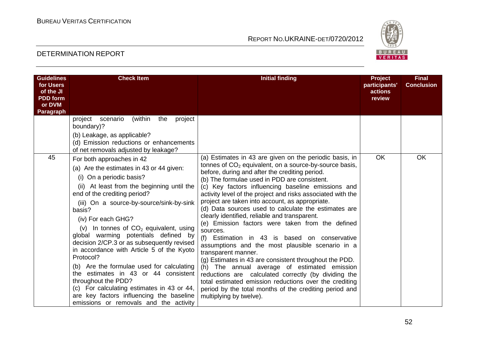

| <b>Guidelines</b><br>for Users<br>of the JI<br><b>PDD</b> form<br>or DVM<br>Paragraph | <b>Check Item</b>                                                                                                                                                                                                                                                                                                                                                                                                                                                                                                                                                                                                                                                                                       | <b>Initial finding</b>                                                                                                                                                                                                                                                                                                                                                                                                                                                                                                                                                                                                                                                                                                                                                                                                                                                                                                                                                                                              | Project<br>participants'<br>actions<br>review | <b>Final</b><br><b>Conclusion</b> |
|---------------------------------------------------------------------------------------|---------------------------------------------------------------------------------------------------------------------------------------------------------------------------------------------------------------------------------------------------------------------------------------------------------------------------------------------------------------------------------------------------------------------------------------------------------------------------------------------------------------------------------------------------------------------------------------------------------------------------------------------------------------------------------------------------------|---------------------------------------------------------------------------------------------------------------------------------------------------------------------------------------------------------------------------------------------------------------------------------------------------------------------------------------------------------------------------------------------------------------------------------------------------------------------------------------------------------------------------------------------------------------------------------------------------------------------------------------------------------------------------------------------------------------------------------------------------------------------------------------------------------------------------------------------------------------------------------------------------------------------------------------------------------------------------------------------------------------------|-----------------------------------------------|-----------------------------------|
|                                                                                       | (within<br>scenario<br>the<br>project<br>project<br>boundary)?<br>(b) Leakage, as applicable?<br>(d) Emission reductions or enhancements<br>of net removals adjusted by leakage?                                                                                                                                                                                                                                                                                                                                                                                                                                                                                                                        |                                                                                                                                                                                                                                                                                                                                                                                                                                                                                                                                                                                                                                                                                                                                                                                                                                                                                                                                                                                                                     |                                               |                                   |
| 45                                                                                    | For both approaches in 42<br>(a) Are the estimates in 43 or 44 given:<br>(i) On a periodic basis?<br>(ii) At least from the beginning until the<br>end of the crediting period?<br>(iii) On a source-by-source/sink-by-sink<br>basis?<br>(iv) For each GHG?<br>(v) In tonnes of $CO2$ equivalent, using<br>global warming potentials defined by<br>decision 2/CP.3 or as subsequently revised<br>in accordance with Article 5 of the Kyoto<br>Protocol?<br>(b) Are the formulae used for calculating<br>the estimates in 43 or 44 consistent<br>throughout the PDD?<br>(c) For calculating estimates in 43 or 44,<br>are key factors influencing the baseline<br>emissions or removals and the activity | (a) Estimates in 43 are given on the periodic basis, in<br>tonnes of $CO2$ equivalent, on a source-by-source basis,<br>before, during and after the crediting period.<br>(b) The formulae used in PDD are consistent.<br>(c) Key factors influencing baseline emissions and<br>activity level of the project and risks associated with the<br>project are taken into account, as appropriate.<br>(d) Data sources used to calculate the estimates are<br>clearly identified, reliable and transparent.<br>(e) Emission factors were taken from the defined<br>sources.<br>(f) Estimation in 43 is based on conservative<br>assumptions and the most plausible scenario in a<br>transparent manner.<br>(g) Estimates in 43 are consistent throughout the PDD.<br>(h) The annual average of estimated emission<br>reductions are calculated correctly (by dividing the<br>total estimated emission reductions over the crediting<br>period by the total months of the crediting period and<br>multiplying by twelve). | OK                                            | OK                                |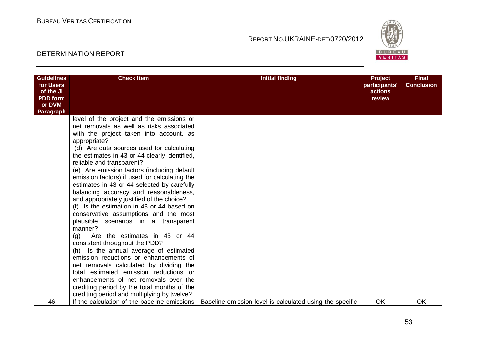

| <b>Guidelines</b><br>for Users<br>of the JI<br><b>PDD</b> form | <b>Check Item</b>                                                                                                                                                                                                                                                                                                                                                                                                                                                                                                                                                                                                                                                                                                                                                                                                                                                                                                                                                                                                                                      | <b>Initial finding</b>                                   | <b>Project</b><br>participants'<br>actions<br>review | <b>Final</b><br><b>Conclusion</b> |
|----------------------------------------------------------------|--------------------------------------------------------------------------------------------------------------------------------------------------------------------------------------------------------------------------------------------------------------------------------------------------------------------------------------------------------------------------------------------------------------------------------------------------------------------------------------------------------------------------------------------------------------------------------------------------------------------------------------------------------------------------------------------------------------------------------------------------------------------------------------------------------------------------------------------------------------------------------------------------------------------------------------------------------------------------------------------------------------------------------------------------------|----------------------------------------------------------|------------------------------------------------------|-----------------------------------|
| or DVM<br>Paragraph                                            |                                                                                                                                                                                                                                                                                                                                                                                                                                                                                                                                                                                                                                                                                                                                                                                                                                                                                                                                                                                                                                                        |                                                          |                                                      |                                   |
|                                                                | level of the project and the emissions or<br>net removals as well as risks associated<br>with the project taken into account, as<br>appropriate?<br>(d) Are data sources used for calculating<br>the estimates in 43 or 44 clearly identified,<br>reliable and transparent?<br>(e) Are emission factors (including default<br>emission factors) if used for calculating the<br>estimates in 43 or 44 selected by carefully<br>balancing accuracy and reasonableness,<br>and appropriately justified of the choice?<br>(f) Is the estimation in 43 or 44 based on<br>conservative assumptions and the most<br>plausible scenarios in a transparent<br>manner?<br>Are the estimates in 43 or 44<br>(q)<br>consistent throughout the PDD?<br>(h) Is the annual average of estimated<br>emission reductions or enhancements of<br>net removals calculated by dividing the<br>total estimated emission reductions or<br>enhancements of net removals over the<br>crediting period by the total months of the<br>crediting period and multiplying by twelve? |                                                          |                                                      |                                   |
| 46                                                             | If the calculation of the baseline emissions                                                                                                                                                                                                                                                                                                                                                                                                                                                                                                                                                                                                                                                                                                                                                                                                                                                                                                                                                                                                           | Baseline emission level is calculated using the specific | <b>OK</b>                                            | <b>OK</b>                         |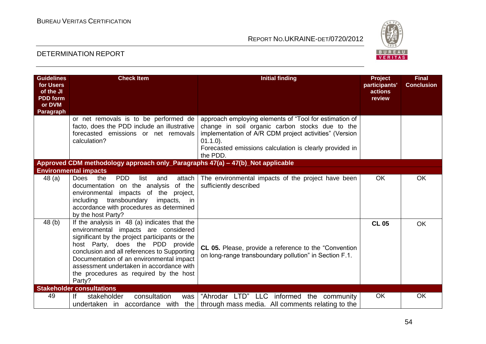

| <b>Guidelines</b><br>for Users<br>of the JI | <b>Check Item</b>                                                                                                                                                                                                                                                                                                                                                     | <b>Initial finding</b>                                                                                                                                                                                                                                    | <b>Project</b><br>participants'<br>actions | <b>Final</b><br><b>Conclusion</b> |
|---------------------------------------------|-----------------------------------------------------------------------------------------------------------------------------------------------------------------------------------------------------------------------------------------------------------------------------------------------------------------------------------------------------------------------|-----------------------------------------------------------------------------------------------------------------------------------------------------------------------------------------------------------------------------------------------------------|--------------------------------------------|-----------------------------------|
| <b>PDD</b> form<br>or DVM                   |                                                                                                                                                                                                                                                                                                                                                                       |                                                                                                                                                                                                                                                           | review                                     |                                   |
| Paragraph                                   |                                                                                                                                                                                                                                                                                                                                                                       |                                                                                                                                                                                                                                                           |                                            |                                   |
|                                             | or net removals is to be performed de<br>facto, does the PDD include an illustrative<br>forecasted emissions or net removals<br>calculation?                                                                                                                                                                                                                          | approach employing elements of "Tool for estimation of<br>change in soil organic carbon stocks due to the<br>implementation of A/R CDM project activities" (Version<br>$01.1.0$ ).<br>Forecasted emissions calculation is clearly provided in<br>the PDD. |                                            |                                   |
|                                             | Approved CDM methodology approach only_Paragraphs 47(a) - 47(b)_Not applicable                                                                                                                                                                                                                                                                                        |                                                                                                                                                                                                                                                           |                                            |                                   |
|                                             | <b>Environmental impacts</b>                                                                                                                                                                                                                                                                                                                                          |                                                                                                                                                                                                                                                           |                                            |                                   |
| 48 (a)                                      | <b>PDD</b><br><b>Does</b><br>the<br>list<br>attach<br>and<br>documentation on the analysis<br>of the<br>impacts of the project,<br>environmental<br>transboundary<br>including<br>impacts, in<br>accordance with procedures as determined<br>by the host Party?                                                                                                       | The environmental impacts of the project have been<br>sufficiently described                                                                                                                                                                              | OK.                                        | <b>OK</b>                         |
| 48 (b)                                      | If the analysis in 48 (a) indicates that the<br>environmental impacts are considered<br>significant by the project participants or the<br>host Party, does the PDD provide<br>conclusion and all references to Supporting<br>Documentation of an environmental impact<br>assessment undertaken in accordance with<br>the procedures as required by the host<br>Party? | <b>CL 05.</b> Please, provide a reference to the "Convention"<br>on long-range transboundary pollution" in Section F.1.                                                                                                                                   | <b>CL 05</b>                               | <b>OK</b>                         |
|                                             | <b>Stakeholder consultations</b>                                                                                                                                                                                                                                                                                                                                      |                                                                                                                                                                                                                                                           |                                            |                                   |
| 49                                          | consultation<br><u>If</u><br>stakeholder<br>was                                                                                                                                                                                                                                                                                                                       | "Ahrodar LTD" LLC informed the community<br>undertaken in accordance with the $\vert$ through mass media. All comments relating to the                                                                                                                    | <b>OK</b>                                  | <b>OK</b>                         |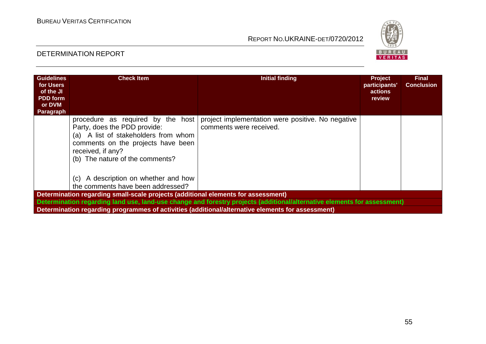

| <b>Guidelines</b><br>for Users<br>of the JI<br><b>PDD</b> form<br>or DVM<br>Paragraph | <b>Check Item</b>                                                                                                                                                                                       | <b>Initial finding</b>                                                                                                   | <b>Project</b><br>participants'<br>actions<br>review | <b>Final</b><br><b>Conclusion</b> |  |  |
|---------------------------------------------------------------------------------------|---------------------------------------------------------------------------------------------------------------------------------------------------------------------------------------------------------|--------------------------------------------------------------------------------------------------------------------------|------------------------------------------------------|-----------------------------------|--|--|
|                                                                                       | procedure as required by the host<br>Party, does the PDD provide:<br>(a) A list of stakeholders from whom<br>comments on the projects have been<br>received, if any?<br>(b) The nature of the comments? | project implementation were positive. No negative<br>comments were received.                                             |                                                      |                                   |  |  |
|                                                                                       | A description on whether and how<br>(C)<br>the comments have been addressed?                                                                                                                            |                                                                                                                          |                                                      |                                   |  |  |
| Determination regarding small-scale projects (additional elements for assessment)     |                                                                                                                                                                                                         |                                                                                                                          |                                                      |                                   |  |  |
|                                                                                       |                                                                                                                                                                                                         | Determination regarding land use, land-use change and forestry projects (additional/alternative elements for assessment) |                                                      |                                   |  |  |
|                                                                                       |                                                                                                                                                                                                         | Determination regarding programmes of activities (additional/alternative elements for assessment)                        |                                                      |                                   |  |  |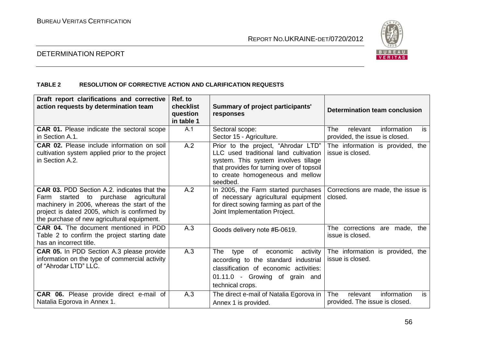

#### DETERMINATION REPORT

#### **TABLE 2 RESOLUTION OF CORRECTIVE ACTION AND CLARIFICATION REQUESTS**

| Draft report clarifications and corrective<br>action requests by determination team                                                                                                                                                       | Ref. to<br>checklist<br>question<br>in table 1 | Summary of project participants'<br>responses                                                                                                                                                                     | <b>Determination team conclusion</b>                                          |
|-------------------------------------------------------------------------------------------------------------------------------------------------------------------------------------------------------------------------------------------|------------------------------------------------|-------------------------------------------------------------------------------------------------------------------------------------------------------------------------------------------------------------------|-------------------------------------------------------------------------------|
| <b>CAR 01.</b> Please indicate the sectoral scope<br>in Section A.1.                                                                                                                                                                      | A.1                                            | Sectoral scope:<br>Sector 15 - Agriculture.                                                                                                                                                                       | information<br>is<br><b>The</b><br>relevant<br>provided, the issue is closed. |
| <b>CAR 02.</b> Please include information on soil<br>cultivation system applied prior to the project<br>in Section A.2.                                                                                                                   | A.2                                            | Prior to the project, "Ahrodar LTD"<br>LLC used traditional land cultivation<br>system. This system involves tillage<br>that provides for turning over of topsoil<br>to create homogeneous and mellow<br>seedbed. | The information is provided, the<br>issue is closed.                          |
| <b>CAR 03. PDD Section A.2. indicates that the</b><br>Farm started to purchase agricultural<br>machinery in 2006, whereas the start of the<br>project is dated 2005, which is confirmed by<br>the purchase of new agricultural equipment. | A.2                                            | In 2005, the Farm started purchases<br>of necessary agricultural equipment<br>for direct sowing farming as part of the<br>Joint Implementation Project.                                                           | Corrections are made, the issue is<br>closed.                                 |
| <b>CAR 04.</b> The document mentioned in PDD<br>Table 2 to confirm the project starting date<br>has an incorrect title.                                                                                                                   | A.3                                            | Goods delivery note #5-0619.                                                                                                                                                                                      | The corrections are made, the<br>issue is closed.                             |
| <b>CAR 05.</b> In PDD Section A.3 please provide<br>information on the type of commercial activity<br>of "Ahrodar LTD" LLC.                                                                                                               | A.3                                            | <b>The</b><br>of<br>economic<br>activity<br>type<br>according to the standard industrial<br>classification of economic activities:<br>01.11.0 - Growing of grain and<br>technical crops.                          | The information is provided, the<br>issue is closed.                          |
| CAR 06. Please provide direct e-mail of<br>Natalia Egorova in Annex 1.                                                                                                                                                                    | A.3                                            | The direct e-mail of Natalia Egorova in<br>Annex 1 is provided.                                                                                                                                                   | The<br>is<br>information<br>relevant<br>provided. The issue is closed.        |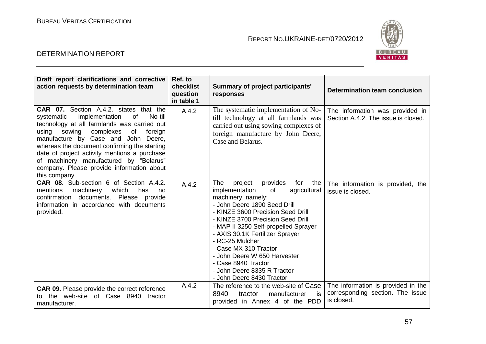

| Draft report clarifications and corrective<br>action requests by determination team                                                                                                                                                                                                                                                                                                                                                    | Ref. to<br>checklist<br>question<br>in table 1 | <b>Summary of project participants'</b><br>responses                                                                                                                                                                                                                                                                                                                                                                                                       | <b>Determination team conclusion</b>                                                 |
|----------------------------------------------------------------------------------------------------------------------------------------------------------------------------------------------------------------------------------------------------------------------------------------------------------------------------------------------------------------------------------------------------------------------------------------|------------------------------------------------|------------------------------------------------------------------------------------------------------------------------------------------------------------------------------------------------------------------------------------------------------------------------------------------------------------------------------------------------------------------------------------------------------------------------------------------------------------|--------------------------------------------------------------------------------------|
| CAR 07. Section A.4.2. states that the<br>of<br>No-till<br>systematic<br>implementation<br>technology at all farmlands was carried out<br>complexes<br>sowing<br>of<br>using<br>foreign<br>manufacture by Case and John Deere,<br>whereas the document confirming the starting<br>date of project activity mentions a purchase<br>of machinery manufactured by "Belarus"<br>company. Please provide information about<br>this company. | A.4.2                                          | The systematic implementation of No-<br>till technology at all farmlands was<br>carried out using sowing complexes of<br>foreign manufacture by John Deere,<br>Case and Belarus.                                                                                                                                                                                                                                                                           | The information was provided in<br>Section A.4.2. The issue is closed.               |
| CAR 08. Sub-section 6 of Section A.4.2.<br>mentions<br>machinery<br>which<br>has<br>no<br>confirmation documents. Please provide<br>information in accordance with documents<br>provided.                                                                                                                                                                                                                                              | A.4.2                                          | The<br>provides<br>for<br>project<br>the<br>implementation<br>of<br>agricultural<br>machinery, namely:<br>- John Deere 1890 Seed Drill<br>- KINZE 3600 Precision Seed Drill<br>- KINZE 3700 Precision Seed Drill<br>- MAP II 3250 Self-propelled Sprayer<br>- AXIS 30.1K Fertilizer Sprayer<br>- RC-25 Mulcher<br>- Case MX 310 Tractor<br>- John Deere W 650 Harvester<br>- Case 8940 Tractor<br>- John Deere 8335 R Tractor<br>- John Deere 8430 Tractor | The information is provided, the<br>issue is closed.                                 |
| <b>CAR 09.</b> Please provide the correct reference<br>to the web-site of Case 8940 tractor<br>manufacturer.                                                                                                                                                                                                                                                                                                                           | A.4.2                                          | The reference to the web-site of Case<br>8940<br>tractor<br>manufacturer<br>is<br>provided in Annex 4 of the PDD                                                                                                                                                                                                                                                                                                                                           | The information is provided in the<br>corresponding section. The issue<br>is closed. |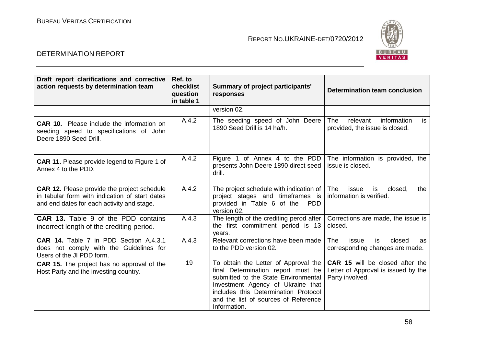

| Draft report clarifications and corrective<br>action requests by determination team                                                                | Ref. to<br>checklist<br>question<br>in table 1 | Summary of project participants'<br>responses                                                                                                                                                                                                           | Determination team conclusion                                                                    |
|----------------------------------------------------------------------------------------------------------------------------------------------------|------------------------------------------------|---------------------------------------------------------------------------------------------------------------------------------------------------------------------------------------------------------------------------------------------------------|--------------------------------------------------------------------------------------------------|
|                                                                                                                                                    |                                                | version 02.                                                                                                                                                                                                                                             |                                                                                                  |
| <b>CAR 10.</b> Please include the information on<br>seeding speed to specifications of John<br>Deere 1890 Seed Drill.                              | A.4.2                                          | The seeding speed of John Deere<br>1890 Seed Drill is 14 ha/h.                                                                                                                                                                                          | information<br>The<br>relevant<br>is<br>provided, the issue is closed.                           |
| <b>CAR 11.</b> Please provide legend to Figure 1 of<br>Annex 4 to the PDD.                                                                         | A.4.2                                          | Figure 1 of Annex 4 to the PDD<br>presents John Deere 1890 direct seed<br>drill.                                                                                                                                                                        | The information is provided, the<br>issue is closed.                                             |
| <b>CAR 12.</b> Please provide the project schedule<br>in tabular form with indication of start dates<br>and end dates for each activity and stage. | A.4.2                                          | The project schedule with indication of<br>project stages and timeframes is<br>provided in Table 6 of the<br><b>PDD</b><br>version 02.                                                                                                                  | <b>The</b><br>is<br>issue<br>closed,<br>the<br>information is verified.                          |
| <b>CAR 13.</b> Table 9 of the PDD contains<br>incorrect length of the crediting period.                                                            | A.4.3                                          | The length of the crediting perod after<br>the first commitment period is 13<br>vears.                                                                                                                                                                  | Corrections are made, the issue is<br>closed.                                                    |
| CAR 14. Table 7 in PDD Section A.4.3.1<br>does not comply with the Guidelines for<br>Users of the JI PDD form.                                     | A.4.3                                          | Relevant corrections have been made<br>to the PDD version 02.                                                                                                                                                                                           | The<br>is<br>issue<br>closed<br>as<br>corresponding changes are made.                            |
| <b>CAR 15.</b> The project has no approval of the<br>Host Party and the investing country.                                                         | 19                                             | To obtain the Letter of Approval the<br>final Determination report must be<br>submitted to the State Environmental<br>Investment Agency of Ukraine that<br>includes this Determination Protocol<br>and the list of sources of Reference<br>Information. | <b>CAR 15</b> will be closed after the<br>Letter of Approval is issued by the<br>Party involved. |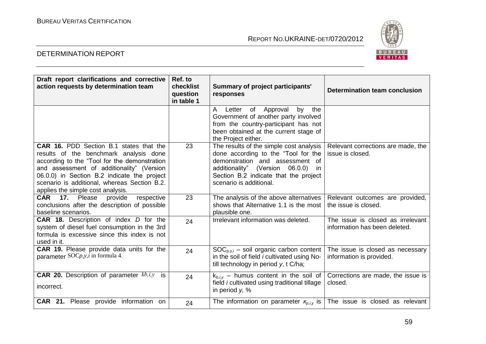

| Draft report clarifications and corrective<br>action requests by determination team                                                                                                                                                                                                                                       | Ref. to<br>checklist<br>question<br>in table 1 | <b>Summary of project participants'</b><br>responses                                                                                                                                                                             | Determination team conclusion                                      |
|---------------------------------------------------------------------------------------------------------------------------------------------------------------------------------------------------------------------------------------------------------------------------------------------------------------------------|------------------------------------------------|----------------------------------------------------------------------------------------------------------------------------------------------------------------------------------------------------------------------------------|--------------------------------------------------------------------|
|                                                                                                                                                                                                                                                                                                                           |                                                | the<br>Letter of Approval<br>A<br>by<br>Government of another party involved<br>from the country-participant has not<br>been obtained at the current stage of<br>the Project either.                                             |                                                                    |
| <b>CAR 16. PDD Section B.1 states that the</b><br>results of the benchmark analysis done<br>according to the "Tool for the demonstration<br>and assessment of additionality" (Version<br>06.0.0) in Section B.2 indicate the project<br>scenario is additional, whereas Section B.2.<br>applies the simple cost analysis. | 23                                             | The results of the simple cost analysis<br>done according to the "Tool for the  <br>demonstration and assessment of<br>additionality" (Version 06.0.0)<br>in<br>Section B.2 indicate that the project<br>scenario is additional. | Relevant corrections are made, the<br>issue is closed.             |
| respective<br><b>CAR</b> 17. Please<br>provide<br>conclusions after the description of possible<br>baseline scenarios.                                                                                                                                                                                                    | 23                                             | The analysis of the above alternatives<br>shows that Alternative 1.1 is the most<br>plausible one.                                                                                                                               | Relevant outcomes are provided,<br>the issue is closed.            |
| <b>CAR 18.</b> Description of index <i>D</i> for the<br>system of diesel fuel consumption in the 3rd<br>formula is excessive since this index is not<br>used in it.                                                                                                                                                       | 24                                             | Irrelevant information was deleted.                                                                                                                                                                                              | The issue is closed as irrelevant<br>information has been deleted. |
| CAR 19. Please provide data units for the<br>parameter $SOCp, y, i$ in formula 4.                                                                                                                                                                                                                                         | 24                                             | $SOC_{p,v,i}$ – soil organic carbon content<br>in the soil of field <i>i</i> cultivated using No-<br>till technology in period y, t C/ha;                                                                                        | The issue is closed as necessary<br>information is provided.       |
| <b>CAR 20.</b> Description of parameter $kb, i, y$ is<br>incorrect.                                                                                                                                                                                                                                                       | 24                                             | $k_{b,i,v}$ – humus content in the soil of<br>field <i>i</i> cultivated using traditional tillage<br>in period $y$ , %                                                                                                           | Corrections are made, the issue is<br>closed.                      |
| CAR 21. Please provide information on                                                                                                                                                                                                                                                                                     | 24                                             | The information on parameter $\kappa_{p,i,v}$ is                                                                                                                                                                                 | The issue is closed as relevant                                    |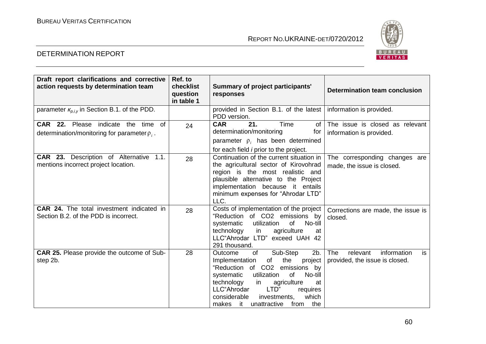

| Draft report clarifications and corrective<br>action requests by determination team       | Ref. to<br>checklist<br>question<br>in table 1 | <b>Summary of project participants'</b><br>responses                                                                                                                                                                                                                                                                    | Determination team conclusion                                                 |
|-------------------------------------------------------------------------------------------|------------------------------------------------|-------------------------------------------------------------------------------------------------------------------------------------------------------------------------------------------------------------------------------------------------------------------------------------------------------------------------|-------------------------------------------------------------------------------|
| parameter $\kappa_{p,i,y}$ in Section B.1. of the PDD.                                    |                                                | provided in Section B.1. of the latest<br>PDD version.                                                                                                                                                                                                                                                                  | information is provided.                                                      |
| CAR 22. Please indicate the time of<br>determination/monitoring for parameter $\rho_i$ .  | 24                                             | <b>CAR</b><br>21.<br>Time<br><b>of</b><br>determination/monitoring<br>for<br>parameter $\rho_i$ , has been determined<br>for each field <i>i</i> prior to the project.                                                                                                                                                  | The issue is closed as relevant<br>information is provided.                   |
| <b>CAR 23.</b> Description of Alternative<br>1.1.<br>mentions incorrect project location. | 28                                             | Continuation of the current situation in<br>the agricultural sector of Kirovohrad<br>region is the most realistic and<br>plausible alternative to the Project<br>implementation because it entails<br>minimum expenses for "Ahrodar LTD"<br>LLC.                                                                        | The corresponding changes are<br>made, the issue is closed.                   |
| <b>CAR 24.</b> The total investment indicated in<br>Section B.2. of the PDD is incorrect. | 28                                             | Costs of implementation of the project<br>"Reduction of CO2 emissions by<br>utilization<br>No-till<br>systematic<br>of<br>agriculture<br>technology<br>in<br>at<br>LLC"Ahrodar LTD" exceed UAH 42<br>291 thousand.                                                                                                      | Corrections are made, the issue is<br>closed.                                 |
| <b>CAR 25.</b> Please provide the outcome of Sub-<br>step 2b.                             | 28                                             | Sub-Step<br>of<br>2b.<br>Outcome<br>the<br>Implementation<br>of<br>project<br>"Reduction of CO2 emissions<br>by<br>utilization<br>of<br>No-till<br>systematic<br>technology<br>agriculture<br>in<br>at<br>LLC"Ahrodar<br>LTD"<br>requires<br>which<br>considerable<br>investments,<br>makes it unattractive<br>from the | <b>The</b><br>information<br>relevant<br>is<br>provided, the issue is closed. |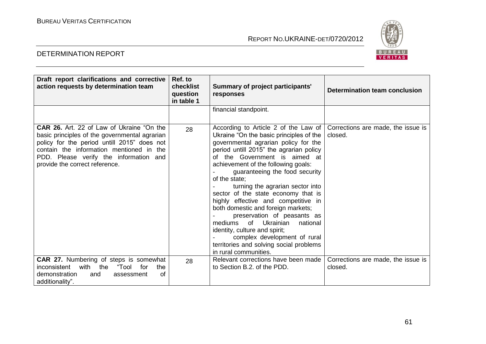

| Draft report clarifications and corrective<br>action requests by determination team                                                                                                                                                                                      | Ref. to<br>checklist<br>question<br>in table 1 | Summary of project participants'<br>responses                                                                                                                                                                                                                                                                                                                                                                                                                                                                                                                                                                                                                 | Determination team conclusion                 |
|--------------------------------------------------------------------------------------------------------------------------------------------------------------------------------------------------------------------------------------------------------------------------|------------------------------------------------|---------------------------------------------------------------------------------------------------------------------------------------------------------------------------------------------------------------------------------------------------------------------------------------------------------------------------------------------------------------------------------------------------------------------------------------------------------------------------------------------------------------------------------------------------------------------------------------------------------------------------------------------------------------|-----------------------------------------------|
|                                                                                                                                                                                                                                                                          |                                                | financial standpoint.                                                                                                                                                                                                                                                                                                                                                                                                                                                                                                                                                                                                                                         |                                               |
| <b>CAR 26.</b> Art. 22 of Law of Ukraine "On the<br>basic principles of the governmental agrarian<br>policy for the period untill 2015" does not<br>contain the information mentioned in the<br>PDD. Please verify the information and<br>provide the correct reference. | 28                                             | According to Article 2 of the Law of<br>Ukraine "On the basic principles of the<br>governmental agrarian policy for the<br>period untill 2015" the agrarian policy<br>of the Government is aimed at<br>achievement of the following goals:<br>guaranteeing the food security<br>of the state:<br>turning the agrarian sector into<br>sector of the state economy that is<br>highly effective and competitive in<br>both domestic and foreign markets;<br>preservation of peasants as<br>mediums of Ukrainian<br>national<br>identity, culture and spirit;<br>complex development of rural<br>territories and solving social problems<br>in rural communities. | Corrections are made, the issue is<br>closed. |
| CAR 27. Numbering of steps is somewhat<br>with<br>the "Tool for<br>inconsistent<br>the<br>of<br>demonstration<br>and<br>assessment<br>additionality".                                                                                                                    | 28                                             | Relevant corrections have been made<br>to Section B.2. of the PDD.                                                                                                                                                                                                                                                                                                                                                                                                                                                                                                                                                                                            | Corrections are made, the issue is<br>closed. |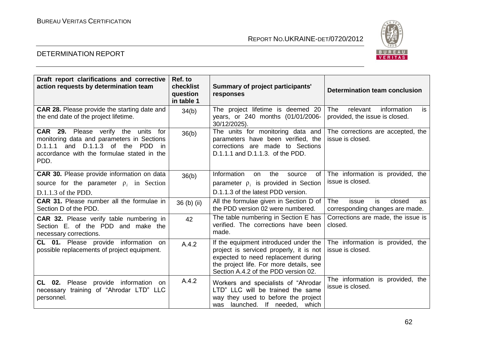

| Draft report clarifications and corrective<br>action requests by determination team                                                                                                        | Ref. to<br>checklist<br>question<br>in table 1 | Summary of project participants'<br>responses                                                                                                                                                              | <b>Determination team conclusion</b>                                                |
|--------------------------------------------------------------------------------------------------------------------------------------------------------------------------------------------|------------------------------------------------|------------------------------------------------------------------------------------------------------------------------------------------------------------------------------------------------------------|-------------------------------------------------------------------------------------|
| <b>CAR 28.</b> Please provide the starting date and<br>the end date of the project lifetime.                                                                                               | 34(b)                                          | The project lifetime is deemed 20<br>years, or 240 months (01/01/2006-<br>30/12/2025).                                                                                                                     | <b>The</b><br>information<br>relevant<br>is<br>provided, the issue is closed.       |
| <b>CAR 29.</b> Please verify the units<br>for<br>monitoring data and parameters in Sections<br>$D.1.1.1$ and $D.1.1.3$ of the PDD in<br>accordance with the formulae stated in the<br>PDD. | 36(b)                                          | The units for monitoring data and<br>parameters have been verified, the<br>corrections are made to Sections<br>D.1.1.1 and D.1.1.3. of the PDD.                                                            | The corrections are accepted, the<br>issue is closed.                               |
| CAR 30. Please provide information on data                                                                                                                                                 | 36(b)                                          | Information<br>the<br>on<br>source<br>of I                                                                                                                                                                 | The information is provided, the                                                    |
| source for the parameter $\rho_i$ in Section                                                                                                                                               |                                                | parameter $\rho_i$ is provided in Section                                                                                                                                                                  | issue is closed.                                                                    |
| $D.1.1.3$ of the PDD.                                                                                                                                                                      |                                                | D.1.1.3 of the latest PDD version.                                                                                                                                                                         |                                                                                     |
| <b>CAR 31.</b> Please number all the formulae in<br>Section D of the PDD.                                                                                                                  | 36 (b) (ii)                                    | All the formulae given in Section D of<br>the PDD version 02 were numbered.                                                                                                                                | <b>The</b><br>is<br>closed<br>issue<br><b>as</b><br>corresponding changes are made. |
| <b>CAR 32.</b> Please verify table numbering in<br>Section E. of the PDD and make the<br>necessary corrections.                                                                            | 42                                             | The table numbering in Section E has<br>verified. The corrections have been<br>made.                                                                                                                       | Corrections are made, the issue is<br>closed.                                       |
| CL 01. Please provide information on<br>possible replacements of project equipment.                                                                                                        | A.4.2                                          | If the equipment introduced under the<br>project is serviced properly, it is not<br>expected to need replacement during<br>the project life. For more details, see<br>Section A.4.2 of the PDD version 02. | The information is provided, the<br>issue is closed.                                |
| CL 02. Please provide information on<br>necessary training of "Ahrodar LTD" LLC<br>personnel.                                                                                              | A.4.2                                          | Workers and specialists of "Ahrodar<br>LTD" LLC will be trained the same<br>way they used to before the project<br>was launched. If needed, which                                                          | The information is provided, the<br>issue is closed.                                |